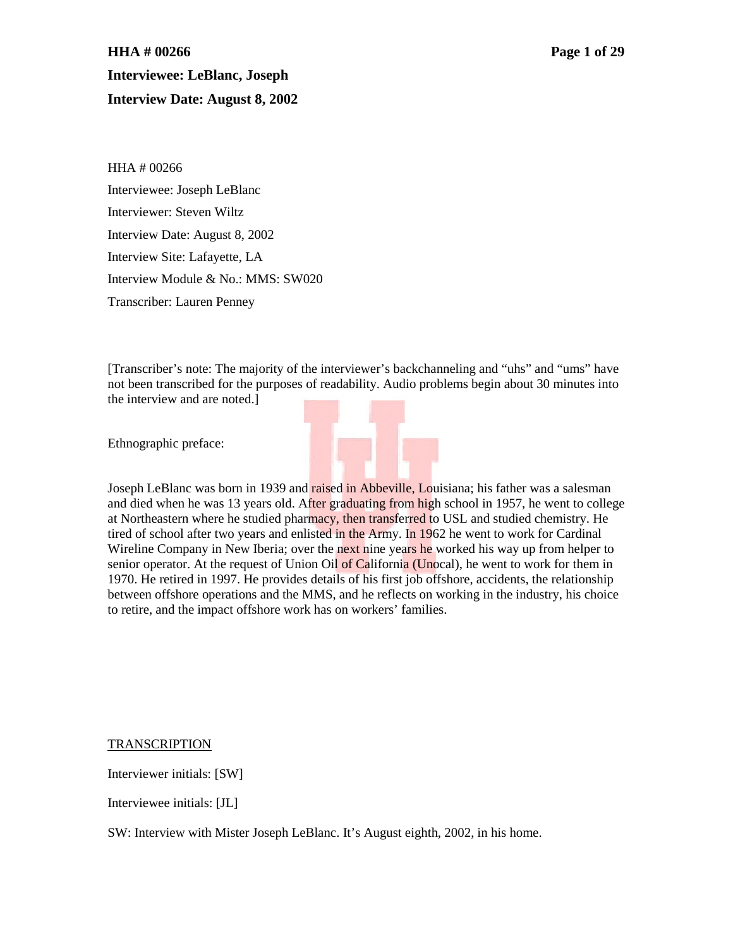**HHA # 00266 Page 1 of 29 Interviewee: LeBlanc, Joseph Interview Date: August 8, 2002**

HHA # 00266 Interviewee: Joseph LeBlanc Interviewer: Steven Wiltz Interview Date: August 8, 2002 Interview Site: Lafayette, LA Interview Module & No.: MMS: SW020 Transcriber: Lauren Penney

[Transcriber's note: The majority of the interviewer's backchanneling and "uhs" and "ums" have not been transcribed for the purposes of readability. Audio problems begin about 30 minutes into the interview and are noted.]

Ethnographic preface:



Joseph LeBlanc was born in 1939 and raised in Abbeville, Louisiana; his father was a salesman and died when he was 13 years old. After graduating from high school in 1957, he went to college at Northeastern where he studied pharmacy, then transferred to USL and studied chemistry. He tired of school after two years and enlisted in the Army. In 1962 he went to work for Cardinal Wireline Company in New Iberia; over the next nine years he worked his way up from helper to senior operator. At the request of Union Oil of California (Unocal), he went to work for them in 1970. He retired in 1997. He provides details of his first job offshore, accidents, the relationship between offshore operations and the MMS, and he reflects on working in the industry, his choice to retire, and the impact offshore work has on workers' families.

**TRANSCRIPTION** 

Interviewer initials: [SW]

Interviewee initials: [JL]

SW: Interview with Mister Joseph LeBlanc. It's August eighth, 2002, in his home.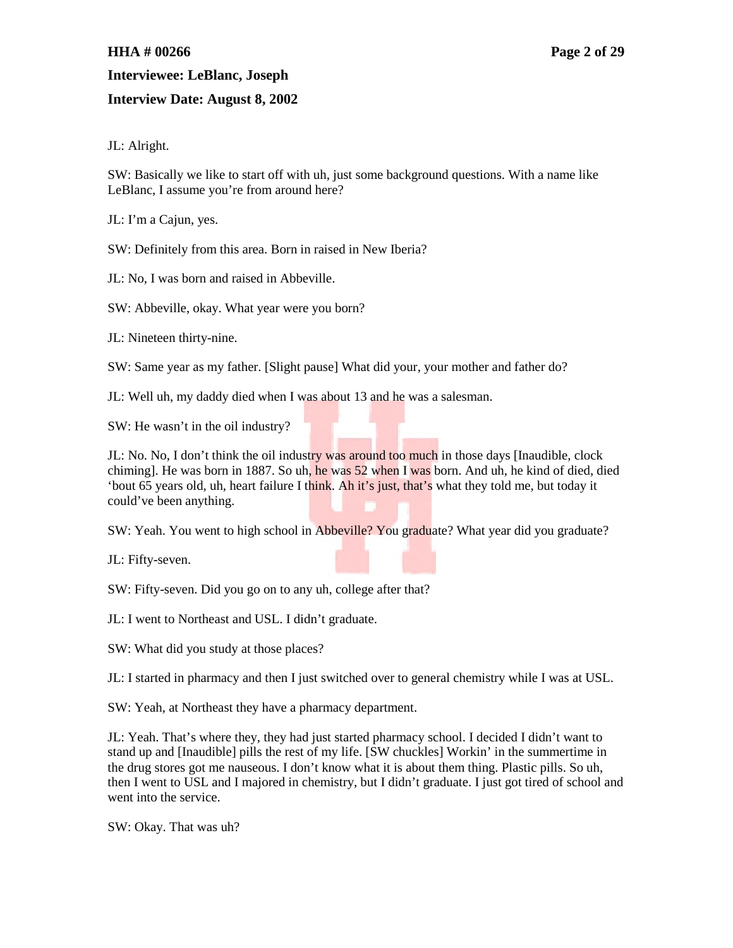## **HHA # 00266 Page 2 of 29**

## **Interviewee: LeBlanc, Joseph**

## **Interview Date: August 8, 2002**

JL: Alright.

SW: Basically we like to start off with uh, just some background questions. With a name like LeBlanc, I assume you're from around here?

JL: I'm a Cajun, yes.

SW: Definitely from this area. Born in raised in New Iberia?

JL: No, I was born and raised in Abbeville.

SW: Abbeville, okay. What year were you born?

JL: Nineteen thirty-nine.

SW: Same year as my father. [Slight pause] What did your, your mother and father do?

JL: Well uh, my daddy died when I was about 13 and he was a salesman.

SW: He wasn't in the oil industry?

JL: No. No. I don't think the oil industry was around too much in those days [Inaudible, clock] chiming]. He was born in 1887. So uh, he was  $52$  when I was born. And uh, he kind of died, died 'bout 65 years old, uh, heart failure I think. Ah it's just, that's what they told me, but today it could've been anything.

SW: Yeah. You went to high school in Abbeville? You graduate? What year did you graduate?

JL: Fifty-seven.

SW: Fifty-seven. Did you go on to any uh, college after that?

JL: I went to Northeast and USL. I didn't graduate.

SW: What did you study at those places?

JL: I started in pharmacy and then I just switched over to general chemistry while I was at USL.

SW: Yeah, at Northeast they have a pharmacy department.

JL: Yeah. That's where they, they had just started pharmacy school. I decided I didn't want to stand up and [Inaudible] pills the rest of my life. [SW chuckles] Workin' in the summertime in the drug stores got me nauseous. I don't know what it is about them thing. Plastic pills. So uh, then I went to USL and I majored in chemistry, but I didn't graduate. I just got tired of school and went into the service.

SW: Okay. That was uh?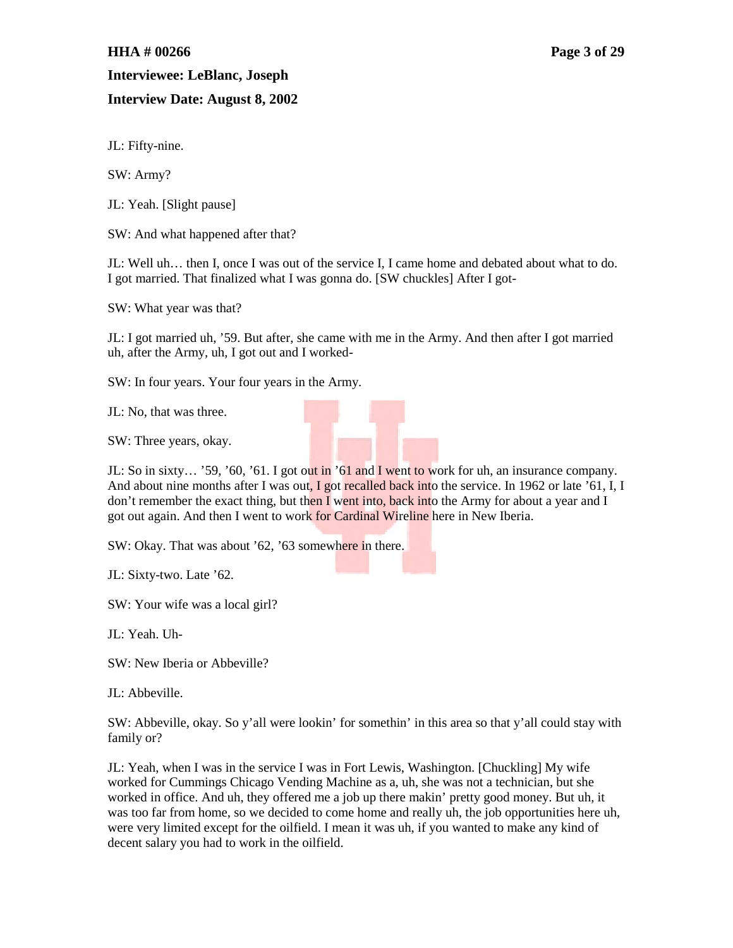# **Interviewee: LeBlanc, Joseph**

## **Interview Date: August 8, 2002**

JL: Fifty-nine.

SW: Army?

JL: Yeah. [Slight pause]

SW: And what happened after that?

JL: Well uh… then I, once I was out of the service I, I came home and debated about what to do. I got married. That finalized what I was gonna do. [SW chuckles] After I got-

SW: What year was that?

JL: I got married uh, '59. But after, she came with me in the Army. And then after I got married uh, after the Army, uh, I got out and I worked-

SW: In four years. Your four years in the Army.

JL: No, that was three.

SW: Three years, okay.

JL: So in sixty… '59, '60, '61. I got out in '61 and I went to work for uh, an insurance company. And about nine months after I was out, I got recalled back into the service. In 1962 or late '61, I, I don't remember the exact thing, but then I went into, back into the Army for about a year and I got out again. And then I went to work for Cardinal Wireline here in New Iberia.

SW: Okay. That was about '62, '63 somewhere in there.

JL: Sixty-two. Late '62.

SW: Your wife was a local girl?

JL: Yeah. Uh-

SW: New Iberia or Abbeville?

JL: Abbeville.

SW: Abbeville, okay. So y'all were lookin' for somethin' in this area so that y'all could stay with family or?

JL: Yeah, when I was in the service I was in Fort Lewis, Washington. [Chuckling] My wife worked for Cummings Chicago Vending Machine as a, uh, she was not a technician, but she worked in office. And uh, they offered me a job up there makin' pretty good money. But uh, it was too far from home, so we decided to come home and really uh, the job opportunities here uh, were very limited except for the oilfield. I mean it was uh, if you wanted to make any kind of decent salary you had to work in the oilfield.

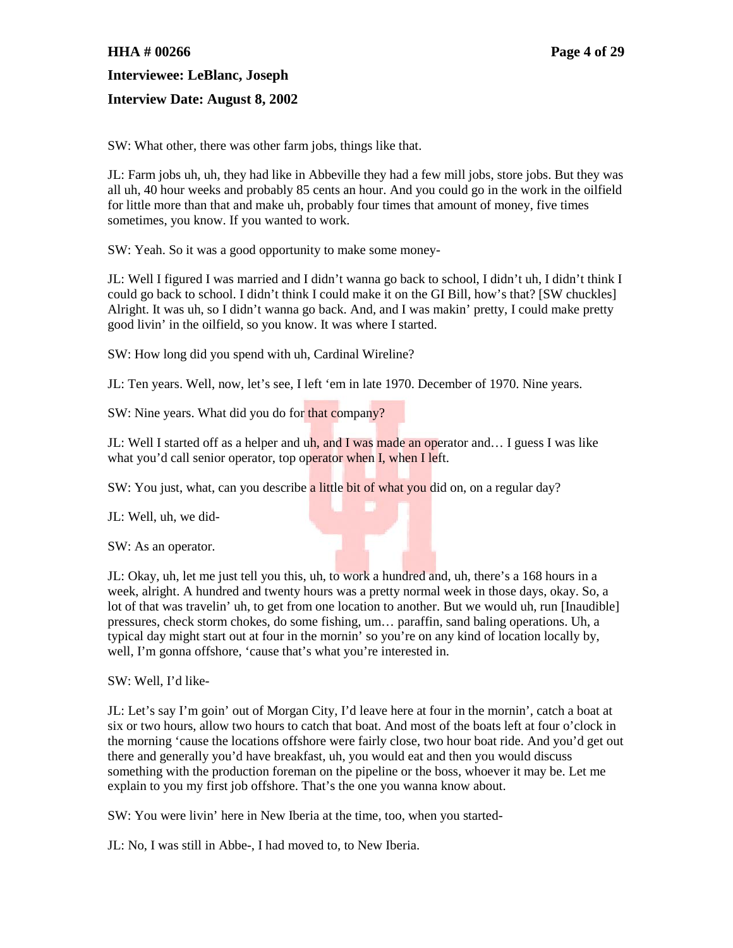# **HHA # 00266 Page 4 of 29 Interviewee: LeBlanc, Joseph Interview Date: August 8, 2002**

SW: What other, there was other farm jobs, things like that.

JL: Farm jobs uh, uh, they had like in Abbeville they had a few mill jobs, store jobs. But they was all uh, 40 hour weeks and probably 85 cents an hour. And you could go in the work in the oilfield for little more than that and make uh, probably four times that amount of money, five times sometimes, you know. If you wanted to work.

SW: Yeah. So it was a good opportunity to make some money-

JL: Well I figured I was married and I didn't wanna go back to school, I didn't uh, I didn't think I could go back to school. I didn't think I could make it on the GI Bill, how's that? [SW chuckles] Alright. It was uh, so I didn't wanna go back. And, and I was makin' pretty, I could make pretty good livin' in the oilfield, so you know. It was where I started.

SW: How long did you spend with uh, Cardinal Wireline?

JL: Ten years. Well, now, let's see, I left 'em in late 1970. December of 1970. Nine years.

SW: Nine years. What did you do for that company?

JL: Well I started off as a helper and uh, and I was made an operator and... I guess I was like what you'd call senior operator, top operator when I, when I left.

SW: You just, what, can you describe a little bit of what you did on, on a regular day?

JL: Well, uh, we did-

SW: As an operator.

JL: Okay, uh, let me just tell you this, uh, to work a hundred and, uh, there's a 168 hours in a week, alright. A hundred and twenty hours was a pretty normal week in those days, okay. So, a lot of that was travelin' uh, to get from one location to another. But we would uh, run [Inaudible] pressures, check storm chokes, do some fishing, um… paraffin, sand baling operations. Uh, a typical day might start out at four in the mornin' so you're on any kind of location locally by, well, I'm gonna offshore, 'cause that's what you're interested in.

SW: Well, I'd like-

JL: Let's say I'm goin' out of Morgan City, I'd leave here at four in the mornin', catch a boat at six or two hours, allow two hours to catch that boat. And most of the boats left at four o'clock in the morning 'cause the locations offshore were fairly close, two hour boat ride. And you'd get out there and generally you'd have breakfast, uh, you would eat and then you would discuss something with the production foreman on the pipeline or the boss, whoever it may be. Let me explain to you my first job offshore. That's the one you wanna know about.

SW: You were livin' here in New Iberia at the time, too, when you started-

JL: No, I was still in Abbe-, I had moved to, to New Iberia.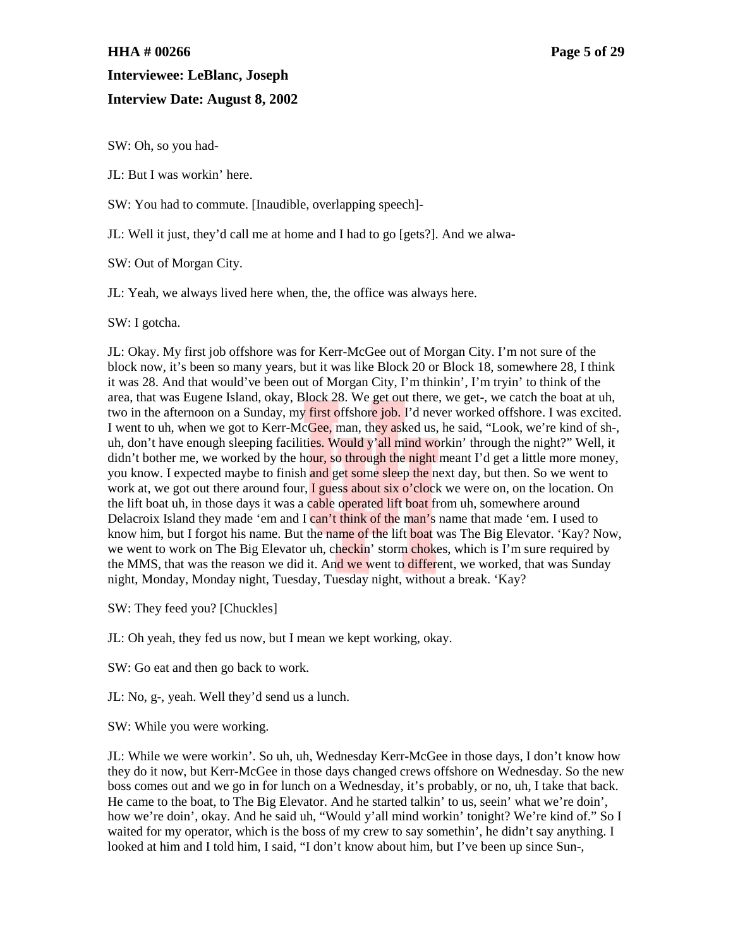### **HHA # 00266 Page 5 of 29**

## **Interviewee: LeBlanc, Joseph**

## **Interview Date: August 8, 2002**

SW: Oh, so you had-

JL: But I was workin' here.

SW: You had to commute. [Inaudible, overlapping speech]-

JL: Well it just, they'd call me at home and I had to go [gets?]. And we alwa-

SW: Out of Morgan City.

JL: Yeah, we always lived here when, the, the office was always here.

SW: I gotcha.

JL: Okay. My first job offshore was for Kerr-McGee out of Morgan City. I'm not sure of the block now, it's been so many years, but it was like Block 20 or Block 18, somewhere 28, I think it was 28. And that would've been out of Morgan City, I'm thinkin', I'm tryin' to think of the area, that was Eugene Island, okay, Block 28. We get out there, we get-, we catch the boat at uh, two in the afternoon on a Sunday, my first offshore job. I'd never worked offshore. I was excited. I went to uh, when we got to Kerr-McGee, man, they asked us, he said, "Look, we're kind of sh-, uh, don't have enough sleeping facilities. Would y'all mind workin' through the night?" Well, it didn't bother me, we worked by the hour, so through the night meant I'd get a little more money, you know. I expected maybe to finish and get some sleep the next day, but then. So we went to work at, we got out there around four, I guess about six o'clock we were on, on the location. On the lift boat uh, in those days it was a cable operated lift boat from uh, somewhere around Delacroix Island they made 'em and  $I can't think of the man's name that made 'em. I used to$ know him, but I forgot his name. But the name of the lift boat was The Big Elevator. 'Kay? Now, we went to work on The Big Elevator uh, checkin' storm chokes, which is I'm sure required by the MMS, that was the reason we did it. And we went to different, we worked, that was Sunday night, Monday, Monday night, Tuesday, Tuesday night, without a break. 'Kay?

SW: They feed you? [Chuckles]

JL: Oh yeah, they fed us now, but I mean we kept working, okay.

SW: Go eat and then go back to work.

JL: No, g-, yeah. Well they'd send us a lunch.

SW: While you were working.

JL: While we were workin'. So uh, uh, Wednesday Kerr-McGee in those days, I don't know how they do it now, but Kerr-McGee in those days changed crews offshore on Wednesday. So the new boss comes out and we go in for lunch on a Wednesday, it's probably, or no, uh, I take that back. He came to the boat, to The Big Elevator. And he started talkin' to us, seein' what we're doin', how we're doin', okay. And he said uh, "Would y'all mind workin' tonight? We're kind of." So I waited for my operator, which is the boss of my crew to say somethin', he didn't say anything. I looked at him and I told him, I said, "I don't know about him, but I've been up since Sun-,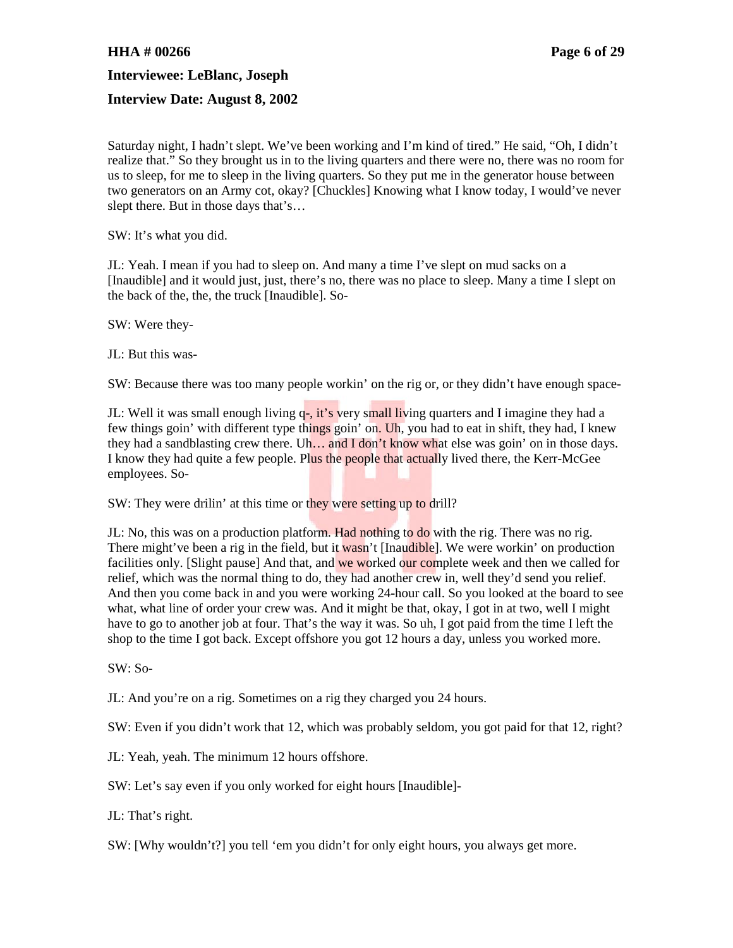## **HHA # 00266 Page 6 of 29**

**Interviewee: LeBlanc, Joseph**

#### **Interview Date: August 8, 2002**

Saturday night, I hadn't slept. We've been working and I'm kind of tired." He said, "Oh, I didn't realize that." So they brought us in to the living quarters and there were no, there was no room for us to sleep, for me to sleep in the living quarters. So they put me in the generator house between two generators on an Army cot, okay? [Chuckles] Knowing what I know today, I would've never slept there. But in those days that's…

SW: It's what you did.

JL: Yeah. I mean if you had to sleep on. And many a time I've slept on mud sacks on a [Inaudible] and it would just, just, there's no, there was no place to sleep. Many a time I slept on the back of the, the, the truck [Inaudible]. So-

SW: Were they-

JL: But this was-

SW: Because there was too many people workin' on the rig or, or they didn't have enough space-

JL: Well it was small enough living q-, it's very small living quarters and I imagine they had a few things goin' with different type things goin' on. Uh, you had to eat in shift, they had, I knew they had a sandblasting crew there. Uh... and I don't know what else was goin' on in those days. I know they had quite a few people. Plus the people that actually lived there, the Kerr-McGee employees. So-

SW: They were drilin' at this time or they were setting up to drill?

JL: No, this was on a production platform. Had nothing to do with the rig. There was no rig. There might've been a rig in the field, but it wasn't [Inaudible]. We were workin' on production facilities only. [Slight pause] And that, and we worked our complete week and then we called for relief, which was the normal thing to do, they had another crew in, well they'd send you relief. And then you come back in and you were working 24-hour call. So you looked at the board to see what, what line of order your crew was. And it might be that, okay, I got in at two, well I might have to go to another job at four. That's the way it was. So uh, I got paid from the time I left the shop to the time I got back. Except offshore you got 12 hours a day, unless you worked more.

SW: So-

JL: And you're on a rig. Sometimes on a rig they charged you 24 hours.

SW: Even if you didn't work that 12, which was probably seldom, you got paid for that 12, right?

JL: Yeah, yeah. The minimum 12 hours offshore.

SW: Let's say even if you only worked for eight hours [Inaudible]-

JL: That's right.

SW: [Why wouldn't?] you tell 'em you didn't for only eight hours, you always get more.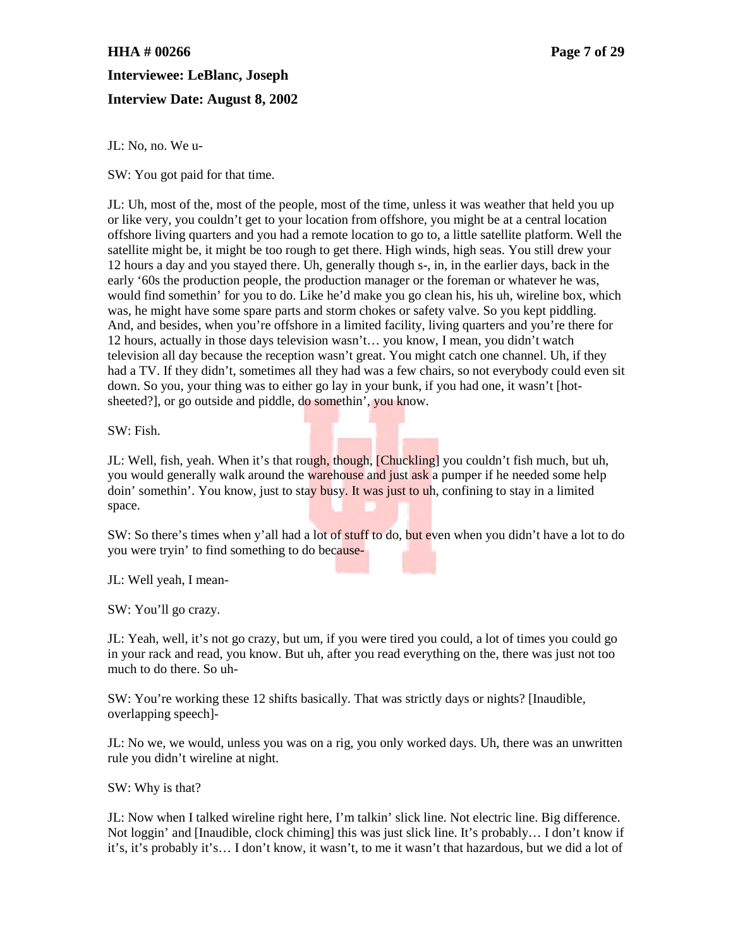# **HHA # 00266 Page 7 of 29 Interviewee: LeBlanc, Joseph Interview Date: August 8, 2002**

JL: No, no. We u-

SW: You got paid for that time.

JL: Uh, most of the, most of the people, most of the time, unless it was weather that held you up or like very, you couldn't get to your location from offshore, you might be at a central location offshore living quarters and you had a remote location to go to, a little satellite platform. Well the satellite might be, it might be too rough to get there. High winds, high seas. You still drew your 12 hours a day and you stayed there. Uh, generally though s-, in, in the earlier days, back in the early '60s the production people, the production manager or the foreman or whatever he was, would find somethin' for you to do. Like he'd make you go clean his, his uh, wireline box, which was, he might have some spare parts and storm chokes or safety valve. So you kept piddling. And, and besides, when you're offshore in a limited facility, living quarters and you're there for 12 hours, actually in those days television wasn't… you know, I mean, you didn't watch television all day because the reception wasn't great. You might catch one channel. Uh, if they had a TV. If they didn't, sometimes all they had was a few chairs, so not everybody could even sit down. So you, your thing was to either go lay in your bunk, if you had one, it wasn't [hotsheeted?], or go outside and piddle, do somethin', you know.

SW: Fish.

JL: Well, fish, yeah. When it's that rough, though, [Chuckling] you couldn't fish much, but uh, you would generally walk around the warehouse and just ask a pumper if he needed some help doin' somethin'. You know, just to stay busy. It was just to uh, confining to stay in a limited space.

SW: So there's times when y'all had a lot of stuff to do, but even when you didn't have a lot to do you were tryin' to find something to do because-

JL: Well yeah, I mean-

SW: You'll go crazy.

JL: Yeah, well, it's not go crazy, but um, if you were tired you could, a lot of times you could go in your rack and read, you know. But uh, after you read everything on the, there was just not too much to do there. So uh-

SW: You're working these 12 shifts basically. That was strictly days or nights? [Inaudible, overlapping speech]-

JL: No we, we would, unless you was on a rig, you only worked days. Uh, there was an unwritten rule you didn't wireline at night.

SW: Why is that?

JL: Now when I talked wireline right here, I'm talkin' slick line. Not electric line. Big difference. Not loggin' and [Inaudible, clock chiming] this was just slick line. It's probably… I don't know if it's, it's probably it's… I don't know, it wasn't, to me it wasn't that hazardous, but we did a lot of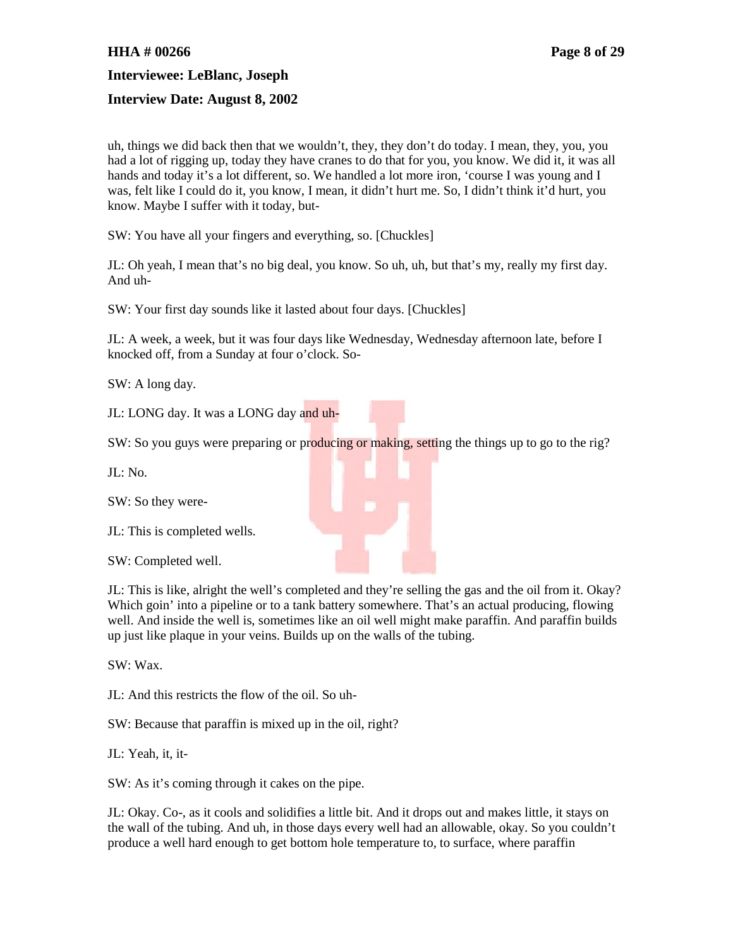## **HHA # 00266 Page 8 of 29**

**Interviewee: LeBlanc, Joseph**

#### **Interview Date: August 8, 2002**

uh, things we did back then that we wouldn't, they, they don't do today. I mean, they, you, you had a lot of rigging up, today they have cranes to do that for you, you know. We did it, it was all hands and today it's a lot different, so. We handled a lot more iron, 'course I was young and I was, felt like I could do it, you know, I mean, it didn't hurt me. So, I didn't think it'd hurt, you know. Maybe I suffer with it today, but-

SW: You have all your fingers and everything, so. [Chuckles]

JL: Oh yeah, I mean that's no big deal, you know. So uh, uh, but that's my, really my first day. And uh-

SW: Your first day sounds like it lasted about four days. [Chuckles]

JL: A week, a week, but it was four days like Wednesday, Wednesday afternoon late, before I knocked off, from a Sunday at four o'clock. So-

SW: A long day.

JL: LONG day. It was a LONG day and uh-

SW: So you guys were preparing or producing or making, setting the things up to go to the rig?

JL: No.

SW: So they were-

JL: This is completed wells.

SW: Completed well.

JL: This is like, alright the well's completed and they're selling the gas and the oil from it. Okay? Which goin' into a pipeline or to a tank battery somewhere. That's an actual producing, flowing well. And inside the well is, sometimes like an oil well might make paraffin. And paraffin builds up just like plaque in your veins. Builds up on the walls of the tubing.

SW: Wax.

JL: And this restricts the flow of the oil. So uh-

SW: Because that paraffin is mixed up in the oil, right?

JL: Yeah, it, it-

SW: As it's coming through it cakes on the pipe.

JL: Okay. Co-, as it cools and solidifies a little bit. And it drops out and makes little, it stays on the wall of the tubing. And uh, in those days every well had an allowable, okay. So you couldn't produce a well hard enough to get bottom hole temperature to, to surface, where paraffin

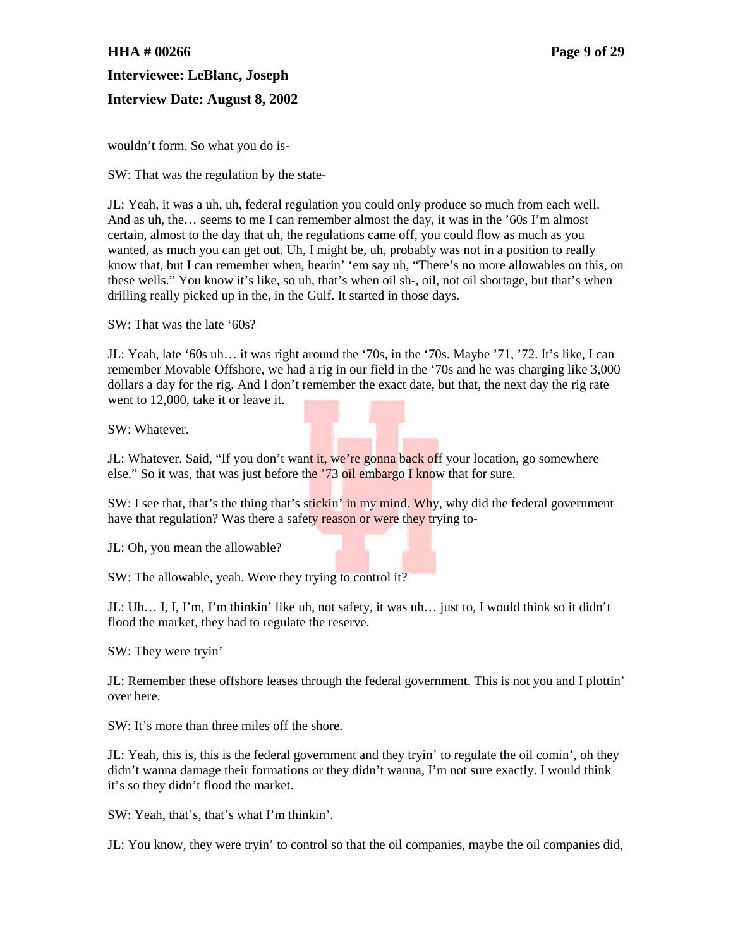# **HHA # 00266 Page 9 of 29 Interviewee: LeBlanc, Joseph Interview Date: August 8, 2002**

wouldn't form. So what you do is-

SW: That was the regulation by the state-

JL: Yeah, it was a uh, uh, federal regulation you could only produce so much from each well. And as uh, the… seems to me I can remember almost the day, it was in the '60s I'm almost certain, almost to the day that uh, the regulations came off, you could flow as much as you wanted, as much you can get out. Uh, I might be, uh, probably was not in a position to really know that, but I can remember when, hearin' 'em say uh, "There's no more allowables on this, on these wells." You know it's like, so uh, that's when oil sh-, oil, not oil shortage, but that's when drilling really picked up in the, in the Gulf. It started in those days.

SW: That was the late '60s?

JL: Yeah, late '60s uh… it was right around the '70s, in the '70s. Maybe '71, '72. It's like, I can remember Movable Offshore, we had a rig in our field in the '70s and he was charging like 3,000 dollars a day for the rig. And I don't remember the exact date, but that, the next day the rig rate went to 12,000, take it or leave it.

SW: Whatever.

JL: Whatever. Said, "If you don't want it, we're gonna back off your location, go somewhere else." So it was, that was just before the '73 oil embargo I know that for sure.

SW: I see that, that's the thing that's stickin' in my mind. Why, why did the federal government have that regulation? Was there a safety reason or were they trying to-

JL: Oh, you mean the allowable?

SW: The allowable, yeah. Were they trying to control it?

JL: Uh… I, I, I'm, I'm thinkin' like uh, not safety, it was uh… just to, I would think so it didn't flood the market, they had to regulate the reserve.

SW: They were tryin'

JL: Remember these offshore leases through the federal government. This is not you and I plottin' over here.

SW: It's more than three miles off the shore.

JL: Yeah, this is, this is the federal government and they tryin' to regulate the oil comin', oh they didn't wanna damage their formations or they didn't wanna, I'm not sure exactly. I would think it's so they didn't flood the market.

SW: Yeah, that's, that's what I'm thinkin'.

JL: You know, they were tryin' to control so that the oil companies, maybe the oil companies did,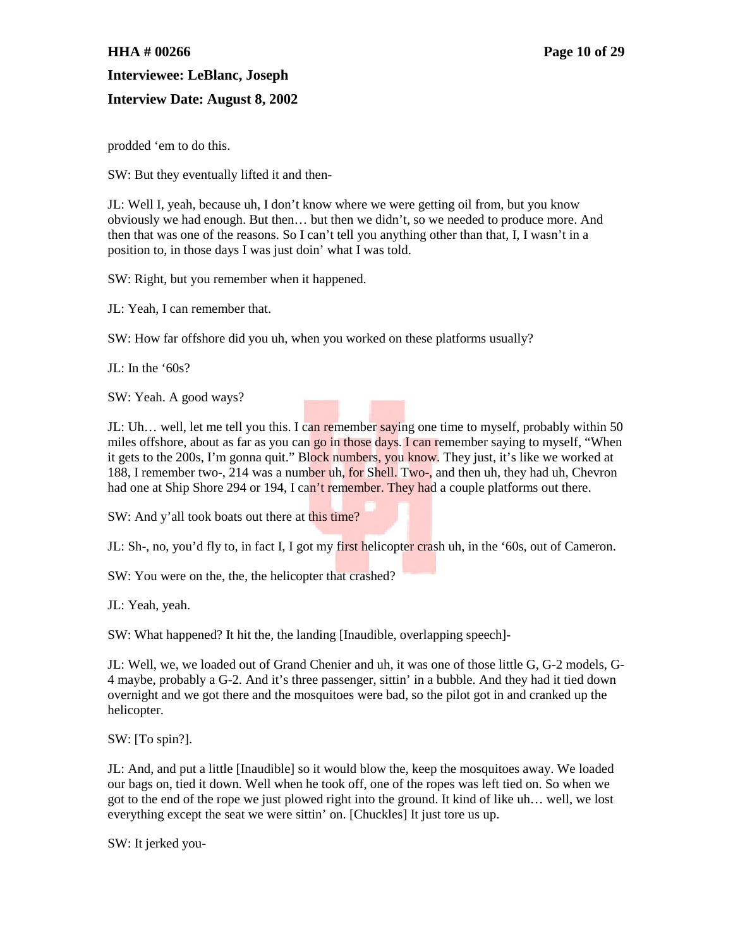# **HHA # 00266 Page 10 of 29 Interviewee: LeBlanc, Joseph**

# **Interview Date: August 8, 2002**

prodded 'em to do this.

SW: But they eventually lifted it and then-

JL: Well I, yeah, because uh, I don't know where we were getting oil from, but you know obviously we had enough. But then… but then we didn't, so we needed to produce more. And then that was one of the reasons. So I can't tell you anything other than that, I, I wasn't in a position to, in those days I was just doin' what I was told.

SW: Right, but you remember when it happened.

JL: Yeah, I can remember that.

SW: How far offshore did you uh, when you worked on these platforms usually?

JL: In the '60s?

SW: Yeah. A good ways?

JL: Uh... well, let me tell you this. I can remember saying one time to myself, probably within 50 miles offshore, about as far as you can go in those days. I can remember saying to myself, "When it gets to the 200s, I'm gonna quit." Block numbers, you know. They just, it's like we worked at 188, I remember two-, 214 was a number uh, for Shell. Two-, and then uh, they had uh, Chevron had one at Ship Shore 294 or 194, I can't remember. They had a couple platforms out there.

SW: And y'all took boats out there at this time?

JL: Sh-, no, you'd fly to, in fact I, I got my first helicopter crash uh, in the '60s, out of Cameron.

SW: You were on the, the, the helicopter that crashed?

JL: Yeah, yeah.

SW: What happened? It hit the, the landing [Inaudible, overlapping speech]-

JL: Well, we, we loaded out of Grand Chenier and uh, it was one of those little G, G-2 models, G-4 maybe, probably a G-2. And it's three passenger, sittin' in a bubble. And they had it tied down overnight and we got there and the mosquitoes were bad, so the pilot got in and cranked up the helicopter.

SW: [To spin?].

JL: And, and put a little [Inaudible] so it would blow the, keep the mosquitoes away. We loaded our bags on, tied it down. Well when he took off, one of the ropes was left tied on. So when we got to the end of the rope we just plowed right into the ground. It kind of like uh… well, we lost everything except the seat we were sittin' on. [Chuckles] It just tore us up.

SW: It jerked you-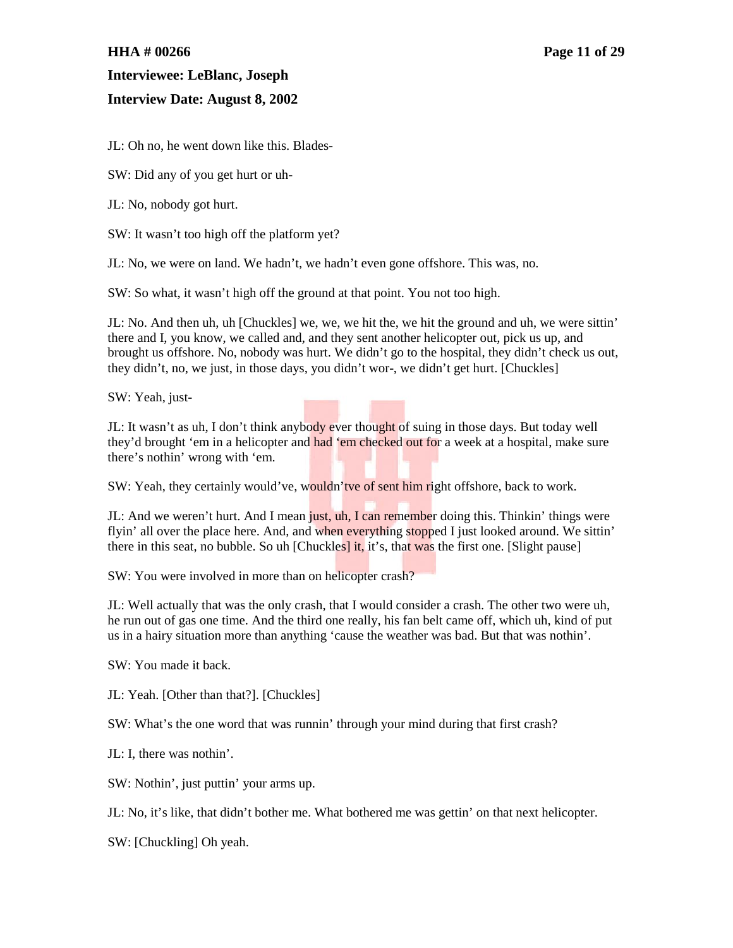## **HHA # 00266 Page 11 of 29**

**Interviewee: LeBlanc, Joseph**

## **Interview Date: August 8, 2002**

JL: Oh no, he went down like this. Blades-

SW: Did any of you get hurt or uh-

JL: No, nobody got hurt.

SW: It wasn't too high off the platform yet?

JL: No, we were on land. We hadn't, we hadn't even gone offshore. This was, no.

SW: So what, it wasn't high off the ground at that point. You not too high.

JL: No. And then uh, uh [Chuckles] we, we, we hit the, we hit the ground and uh, we were sittin' there and I, you know, we called and, and they sent another helicopter out, pick us up, and brought us offshore. No, nobody was hurt. We didn't go to the hospital, they didn't check us out, they didn't, no, we just, in those days, you didn't wor-, we didn't get hurt. [Chuckles]

SW: Yeah, just-

JL: It wasn't as uh, I don't think anybody ever thought of suing in those days. But today well they'd brought 'em in a helicopter and had 'em checked out for a week at a hospital, make sure there's nothin' wrong with 'em.

SW: Yeah, they certainly would've, wouldn'tve of sent him right offshore, back to work.

JL: And we weren't hurt. And I mean just, uh, I can remember doing this. Thinkin' things were flyin' all over the place here. And, and when everything stopped I just looked around. We sittin' there in this seat, no bubble. So uh [Chuckles] it, it's, that was the first one. [Slight pause]

SW: You were involved in more than on helicopter crash?

JL: Well actually that was the only crash, that I would consider a crash. The other two were uh, he run out of gas one time. And the third one really, his fan belt came off, which uh, kind of put us in a hairy situation more than anything 'cause the weather was bad. But that was nothin'.

SW: You made it back.

JL: Yeah. [Other than that?]. [Chuckles]

SW: What's the one word that was runnin' through your mind during that first crash?

JL: I, there was nothin'.

SW: Nothin', just puttin' your arms up.

JL: No, it's like, that didn't bother me. What bothered me was gettin' on that next helicopter.

SW: [Chuckling] Oh yeah.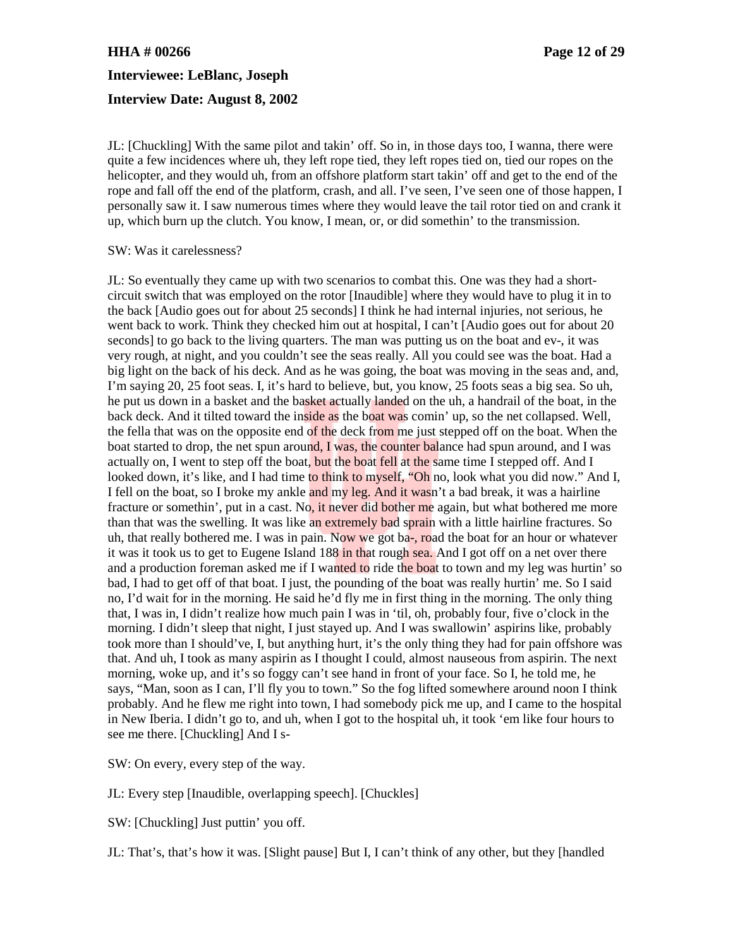# **HHA # 00266 Page 12 of 29 Interviewee: LeBlanc, Joseph Interview Date: August 8, 2002**

JL: [Chuckling] With the same pilot and takin' off. So in, in those days too, I wanna, there were quite a few incidences where uh, they left rope tied, they left ropes tied on, tied our ropes on the helicopter, and they would uh, from an offshore platform start takin' off and get to the end of the rope and fall off the end of the platform, crash, and all. I've seen, I've seen one of those happen, I personally saw it. I saw numerous times where they would leave the tail rotor tied on and crank it up, which burn up the clutch. You know, I mean, or, or did somethin' to the transmission.

#### SW: Was it carelessness?

JL: So eventually they came up with two scenarios to combat this. One was they had a shortcircuit switch that was employed on the rotor [Inaudible] where they would have to plug it in to the back [Audio goes out for about 25 seconds] I think he had internal injuries, not serious, he went back to work. Think they checked him out at hospital, I can't [Audio goes out for about 20 seconds] to go back to the living quarters. The man was putting us on the boat and ev-, it was very rough, at night, and you couldn't see the seas really. All you could see was the boat. Had a big light on the back of his deck. And as he was going, the boat was moving in the seas and, and, I'm saying 20, 25 foot seas. I, it's hard to believe, but, you know, 25 foots seas a big sea. So uh, he put us down in a basket and the basket actually landed on the uh, a handrail of the boat, in the back deck. And it tilted toward the inside as the boat was comin' up, so the net collapsed. Well, the fella that was on the opposite end of the deck from me just stepped off on the boat. When the boat started to drop, the net spun around, I was, the counter balance had spun around, and I was actually on, I went to step off the boat, but the boat fell at the same time I stepped off. And I looked down, it's like, and I had time to think to myself, "Oh no, look what you did now." And I, I fell on the boat, so I broke my ankle and my leg. And it wasn't a bad break, it was a hairline fracture or somethin', put in a cast. No, it never did bother me again, but what bothered me more than that was the swelling. It was like an extremely bad sprain with a little hairline fractures. So uh, that really bothered me. I was in pain. Now we got ba-, road the boat for an hour or whatever it was it took us to get to Eugene Island 188 in that rough sea. And I got off on a net over there and a production foreman asked me if I wanted to ride the boat to town and my leg was hurtin' so bad, I had to get off of that boat. I just, the pounding of the boat was really hurtin' me. So I said no, I'd wait for in the morning. He said he'd fly me in first thing in the morning. The only thing that, I was in, I didn't realize how much pain I was in 'til, oh, probably four, five o'clock in the morning. I didn't sleep that night, I just stayed up. And I was swallowin' aspirins like, probably took more than I should've, I, but anything hurt, it's the only thing they had for pain offshore was that. And uh, I took as many aspirin as I thought I could, almost nauseous from aspirin. The next morning, woke up, and it's so foggy can't see hand in front of your face. So I, he told me, he says, "Man, soon as I can, I'll fly you to town." So the fog lifted somewhere around noon I think probably. And he flew me right into town, I had somebody pick me up, and I came to the hospital in New Iberia. I didn't go to, and uh, when I got to the hospital uh, it took 'em like four hours to see me there. [Chuckling] And I s-

SW: On every, every step of the way.

#### JL: Every step [Inaudible, overlapping speech]. [Chuckles]

SW: [Chuckling] Just puttin' you off.

JL: That's, that's how it was. [Slight pause] But I, I can't think of any other, but they [handled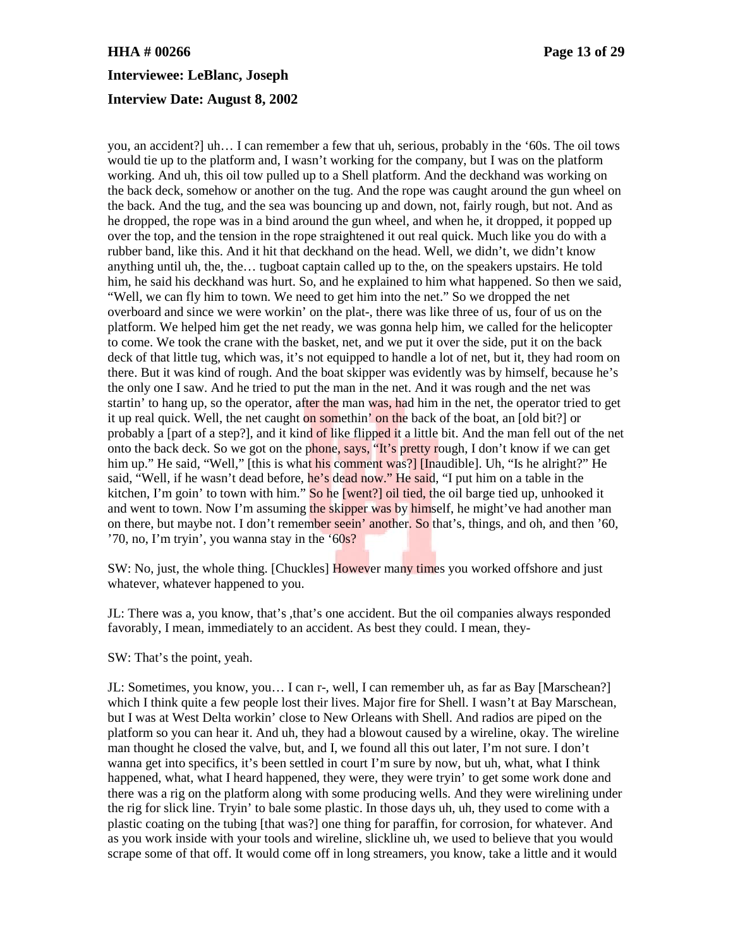# **HHA # 00266 Page 13 of 29 Interviewee: LeBlanc, Joseph Interview Date: August 8, 2002**

you, an accident?] uh… I can remember a few that uh, serious, probably in the '60s. The oil tows would tie up to the platform and, I wasn't working for the company, but I was on the platform working. And uh, this oil tow pulled up to a Shell platform. And the deckhand was working on the back deck, somehow or another on the tug. And the rope was caught around the gun wheel on the back. And the tug, and the sea was bouncing up and down, not, fairly rough, but not. And as he dropped, the rope was in a bind around the gun wheel, and when he, it dropped, it popped up over the top, and the tension in the rope straightened it out real quick. Much like you do with a rubber band, like this. And it hit that deckhand on the head. Well, we didn't, we didn't know anything until uh, the, the… tugboat captain called up to the, on the speakers upstairs. He told him, he said his deckhand was hurt. So, and he explained to him what happened. So then we said, "Well, we can fly him to town. We need to get him into the net." So we dropped the net overboard and since we were workin' on the plat-, there was like three of us, four of us on the platform. We helped him get the net ready, we was gonna help him, we called for the helicopter to come. We took the crane with the basket, net, and we put it over the side, put it on the back deck of that little tug, which was, it's not equipped to handle a lot of net, but it, they had room on there. But it was kind of rough. And the boat skipper was evidently was by himself, because he's the only one I saw. And he tried to put the man in the net. And it was rough and the net was startin' to hang up, so the operator, after the man was, had him in the net, the operator tried to get it up real quick. Well, the net caught on somethin' on the back of the boat, an [old bit?] or probably a [part of a step?], and it kind of like flipped it a little bit. And the man fell out of the net onto the back deck. So we got on the phone, says, "It's pretty rough, I don't know if we can get him up." He said, "Well," [this is what his comment was?] [Inaudible]. Uh, "Is he alright?" He said, "Well, if he wasn't dead before, he's dead now." He said, "I put him on a table in the kitchen, I'm goin' to town with him." So he [went?] oil tied, the oil barge tied up, unhooked it and went to town. Now I'm assuming the skipper was by himself, he might've had another man on there, but maybe not. I don't remember seein' another. So that's, things, and oh, and then '60, '70, no, I'm tryin', you wanna stay in the '60s?

SW: No, just, the whole thing. [Chuckles] However many times you worked offshore and just whatever, whatever happened to you.

JL: There was a, you know, that's ,that's one accident. But the oil companies always responded favorably, I mean, immediately to an accident. As best they could. I mean, they-

#### SW: That's the point, yeah.

JL: Sometimes, you know, you… I can r-, well, I can remember uh, as far as Bay [Marschean?] which I think quite a few people lost their lives. Major fire for Shell. I wasn't at Bay Marschean, but I was at West Delta workin' close to New Orleans with Shell. And radios are piped on the platform so you can hear it. And uh, they had a blowout caused by a wireline, okay. The wireline man thought he closed the valve, but, and I, we found all this out later, I'm not sure. I don't wanna get into specifics, it's been settled in court I'm sure by now, but uh, what, what I think happened, what, what I heard happened, they were, they were tryin' to get some work done and there was a rig on the platform along with some producing wells. And they were wirelining under the rig for slick line. Tryin' to bale some plastic. In those days uh, uh, they used to come with a plastic coating on the tubing [that was?] one thing for paraffin, for corrosion, for whatever. And as you work inside with your tools and wireline, slickline uh, we used to believe that you would scrape some of that off. It would come off in long streamers, you know, take a little and it would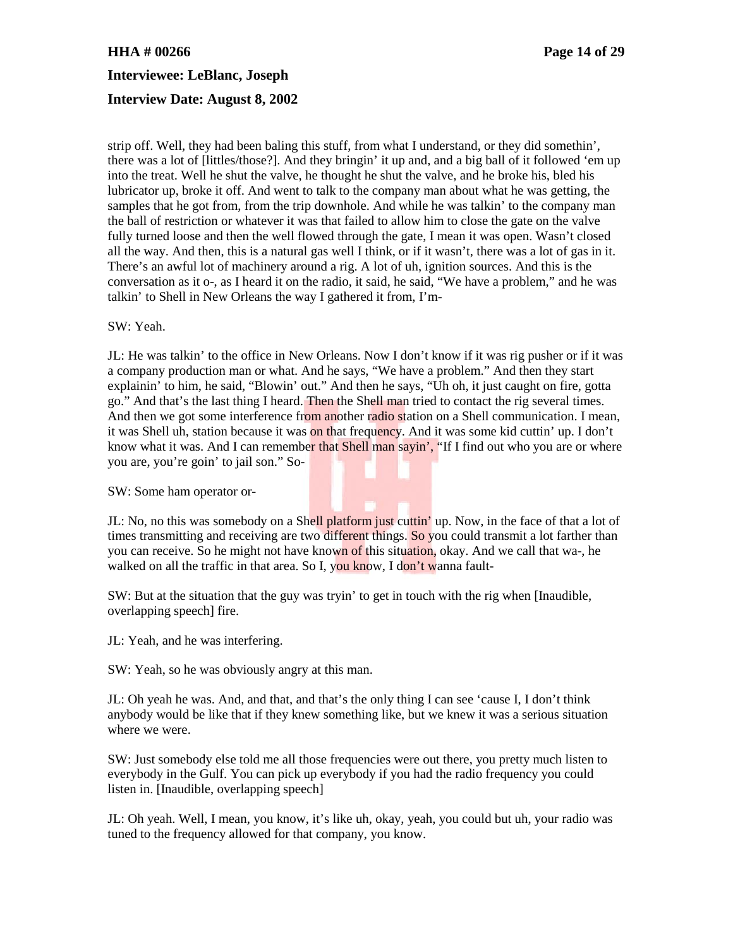# **HHA # 00266 Page 14 of 29 Interviewee: LeBlanc, Joseph Interview Date: August 8, 2002**

strip off. Well, they had been baling this stuff, from what I understand, or they did somethin', there was a lot of [littles/those?]. And they bringin' it up and, and a big ball of it followed 'em up into the treat. Well he shut the valve, he thought he shut the valve, and he broke his, bled his lubricator up, broke it off. And went to talk to the company man about what he was getting, the samples that he got from, from the trip downhole. And while he was talkin' to the company man the ball of restriction or whatever it was that failed to allow him to close the gate on the valve fully turned loose and then the well flowed through the gate, I mean it was open. Wasn't closed all the way. And then, this is a natural gas well I think, or if it wasn't, there was a lot of gas in it. There's an awful lot of machinery around a rig. A lot of uh, ignition sources. And this is the conversation as it o-, as I heard it on the radio, it said, he said, "We have a problem," and he was talkin' to Shell in New Orleans the way I gathered it from, I'm-

SW: Yeah.

JL: He was talkin' to the office in New Orleans. Now I don't know if it was rig pusher or if it was a company production man or what. And he says, "We have a problem." And then they start explainin' to him, he said, "Blowin' out." And then he says, "Uh oh, it just caught on fire, gotta go." And that's the last thing I heard. Then the Shell man tried to contact the rig several times. And then we got some interference from another radio station on a Shell communication. I mean, it was Shell uh, station because it was on that frequency. And it was some kid cuttin' up. I don't know what it was. And I can remember that Shell man sayin', "If I find out who you are or where you are, you're goin' to jail son." So-

SW: Some ham operator or-

JL: No, no this was somebody on a Shell platform just cuttin' up. Now, in the face of that a lot of times transmitting and receiving are two different things. So you could transmit a lot farther than you can receive. So he might not have known of this situation, okay. And we call that wa-, he walked on all the traffic in that area. So I, you know, I don't wanna fault-

SW: But at the situation that the guy was tryin' to get in touch with the rig when [Inaudible, overlapping speech] fire.

JL: Yeah, and he was interfering.

SW: Yeah, so he was obviously angry at this man.

JL: Oh yeah he was. And, and that, and that's the only thing I can see 'cause I, I don't think anybody would be like that if they knew something like, but we knew it was a serious situation where we were.

SW: Just somebody else told me all those frequencies were out there, you pretty much listen to everybody in the Gulf. You can pick up everybody if you had the radio frequency you could listen in. [Inaudible, overlapping speech]

JL: Oh yeah. Well, I mean, you know, it's like uh, okay, yeah, you could but uh, your radio was tuned to the frequency allowed for that company, you know.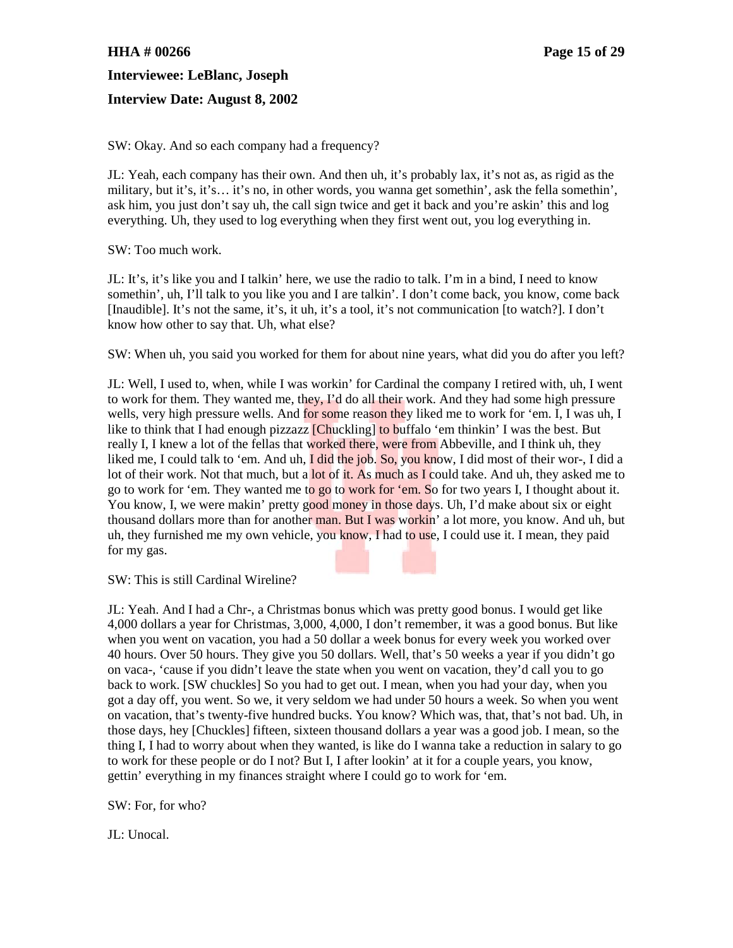## **HHA # 00266 Page 15 of 29**

# **Interviewee: LeBlanc, Joseph**

## **Interview Date: August 8, 2002**

SW: Okay. And so each company had a frequency?

JL: Yeah, each company has their own. And then uh, it's probably lax, it's not as, as rigid as the military, but it's, it's… it's no, in other words, you wanna get somethin', ask the fella somethin', ask him, you just don't say uh, the call sign twice and get it back and you're askin' this and log everything. Uh, they used to log everything when they first went out, you log everything in.

SW: Too much work.

JL: It's, it's like you and I talkin' here, we use the radio to talk. I'm in a bind, I need to know somethin', uh, I'll talk to you like you and I are talkin'. I don't come back, you know, come back [Inaudible]. It's not the same, it's, it uh, it's a tool, it's not communication [to watch?]. I don't know how other to say that. Uh, what else?

SW: When uh, you said you worked for them for about nine years, what did you do after you left?

JL: Well, I used to, when, while I was workin' for Cardinal the company I retired with, uh, I went to work for them. They wanted me, they, I'd do all their work. And they had some high pressure wells, very high pressure wells. And for some reason they liked me to work for 'em. I, I was uh, I like to think that I had enough pizzazz *[Chuckling]* to buffalo 'em thinkin' I was the best. But really I, I knew a lot of the fellas that worked there, were from Abbeville, and I think uh, they liked me, I could talk to 'em. And uh, I did the job. So, you know, I did most of their wor-, I did a lot of their work. Not that much, but a lot of it. As much as I could take. And uh, they asked me to go to work for 'em. They wanted me to go to work for 'em. So for two years I, I thought about it. You know, I, we were makin' pretty good money in those days. Uh, I'd make about six or eight thousand dollars more than for another man. But I was workin' a lot more, you know. And uh, but uh, they furnished me my own vehicle, you know, I had to use, I could use it. I mean, they paid for my gas.

SW: This is still Cardinal Wireline?

JL: Yeah. And I had a Chr-, a Christmas bonus which was pretty good bonus. I would get like 4,000 dollars a year for Christmas, 3,000, 4,000, I don't remember, it was a good bonus. But like when you went on vacation, you had a 50 dollar a week bonus for every week you worked over 40 hours. Over 50 hours. They give you 50 dollars. Well, that's 50 weeks a year if you didn't go on vaca-, 'cause if you didn't leave the state when you went on vacation, they'd call you to go back to work. [SW chuckles] So you had to get out. I mean, when you had your day, when you got a day off, you went. So we, it very seldom we had under 50 hours a week. So when you went on vacation, that's twenty-five hundred bucks. You know? Which was, that, that's not bad. Uh, in those days, hey [Chuckles] fifteen, sixteen thousand dollars a year was a good job. I mean, so the thing I, I had to worry about when they wanted, is like do I wanna take a reduction in salary to go to work for these people or do I not? But I, I after lookin' at it for a couple years, you know, gettin' everything in my finances straight where I could go to work for 'em.

SW: For, for who?

JL: Unocal.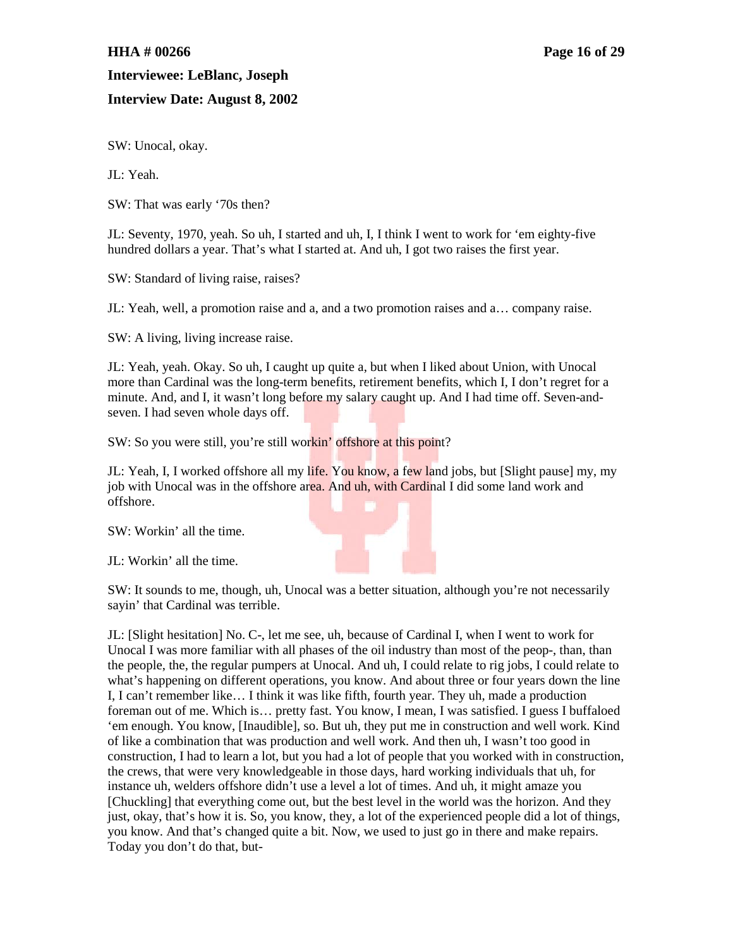## **Interviewee: LeBlanc, Joseph**

## **Interview Date: August 8, 2002**

SW: Unocal, okay.

JL: Yeah.

SW: That was early '70s then?

JL: Seventy, 1970, yeah. So uh, I started and uh, I, I think I went to work for 'em eighty-five hundred dollars a year. That's what I started at. And uh, I got two raises the first year.

SW: Standard of living raise, raises?

JL: Yeah, well, a promotion raise and a, and a two promotion raises and a… company raise.

SW: A living, living increase raise.

JL: Yeah, yeah. Okay. So uh, I caught up quite a, but when I liked about Union, with Unocal more than Cardinal was the long-term benefits, retirement benefits, which I, I don't regret for a minute. And, and I, it wasn't long before my salary caught up. And I had time off. Seven-andseven. I had seven whole days off.

SW: So you were still, you're still workin' offshore at this point?

JL: Yeah, I, I worked offshore all my life. You know, a few land jobs, but [Slight pause] my, my job with Unocal was in the offshore area. And uh, with Cardinal I did some land work and offshore.

SW: Workin' all the time.

JL: Workin' all the time.

SW: It sounds to me, though, uh, Unocal was a better situation, although you're not necessarily sayin' that Cardinal was terrible.

JL: [Slight hesitation] No. C-, let me see, uh, because of Cardinal I, when I went to work for Unocal I was more familiar with all phases of the oil industry than most of the peop-, than, than the people, the, the regular pumpers at Unocal. And uh, I could relate to rig jobs, I could relate to what's happening on different operations, you know. And about three or four years down the line I, I can't remember like… I think it was like fifth, fourth year. They uh, made a production foreman out of me. Which is… pretty fast. You know, I mean, I was satisfied. I guess I buffaloed 'em enough. You know, [Inaudible], so. But uh, they put me in construction and well work. Kind of like a combination that was production and well work. And then uh, I wasn't too good in construction, I had to learn a lot, but you had a lot of people that you worked with in construction, the crews, that were very knowledgeable in those days, hard working individuals that uh, for instance uh, welders offshore didn't use a level a lot of times. And uh, it might amaze you [Chuckling] that everything come out, but the best level in the world was the horizon. And they just, okay, that's how it is. So, you know, they, a lot of the experienced people did a lot of things, you know. And that's changed quite a bit. Now, we used to just go in there and make repairs. Today you don't do that, but-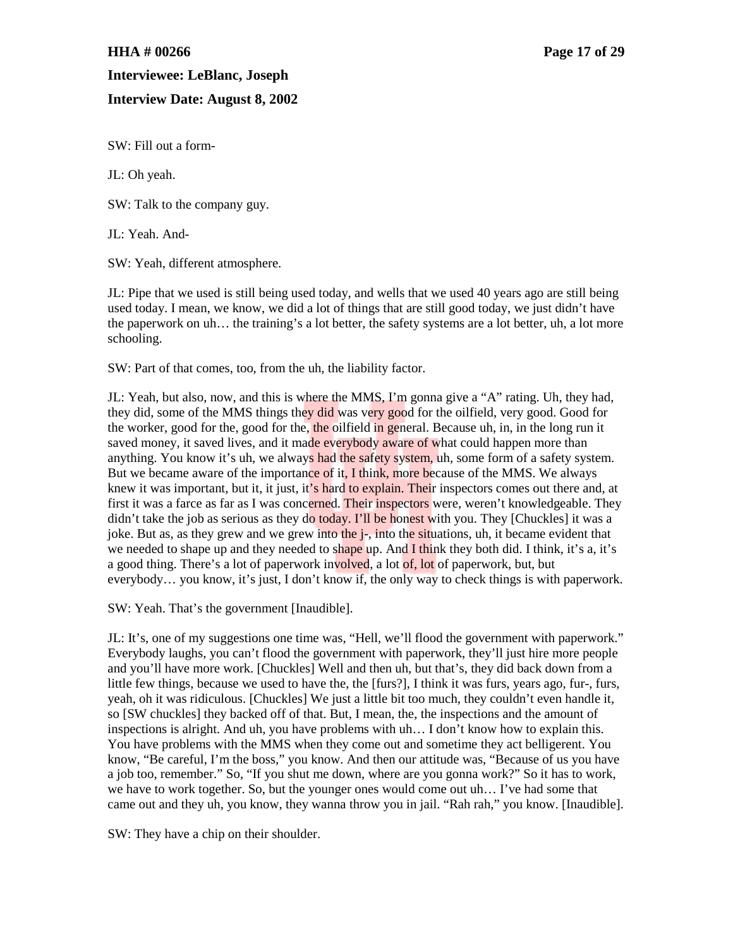## **Interviewee: LeBlanc, Joseph**

## **Interview Date: August 8, 2002**

SW: Fill out a form-

JL: Oh yeah.

SW: Talk to the company guy.

JL: Yeah. And-

SW: Yeah, different atmosphere.

JL: Pipe that we used is still being used today, and wells that we used 40 years ago are still being used today. I mean, we know, we did a lot of things that are still good today, we just didn't have the paperwork on uh… the training's a lot better, the safety systems are a lot better, uh, a lot more schooling.

SW: Part of that comes, too, from the uh, the liability factor.

JL: Yeah, but also, now, and this is where the MMS, I'm gonna give a "A" rating. Uh, they had, they did, some of the MMS things they did was very good for the oilfield, very good. Good for the worker, good for the, good for the, the oilfield in general. Because uh, in, in the long run it saved money, it saved lives, and it made everybody aware of what could happen more than anything. You know it's uh, we always had the safety system, uh, some form of a safety system. But we became aware of the importance of it, I think, more because of the MMS. We always knew it was important, but it, it just, it's hard to explain. Their inspectors comes out there and, at first it was a farce as far as I was concerned. Their inspectors were, weren't knowledgeable. They didn't take the job as serious as they do today. I'll be honest with you. They [Chuckles] it was a joke. But as, as they grew and we grew into the j-, into the situations, uh, it became evident that we needed to shape up and they needed to shape up. And I think they both did. I think, it's a, it's a good thing. There's a lot of paperwork involved, a lot of, lot of paperwork, but, but everybody... you know, it's just, I don't know if, the only way to check things is with paperwork.

SW: Yeah. That's the government [Inaudible].

JL: It's, one of my suggestions one time was, "Hell, we'll flood the government with paperwork." Everybody laughs, you can't flood the government with paperwork, they'll just hire more people and you'll have more work. [Chuckles] Well and then uh, but that's, they did back down from a little few things, because we used to have the, the [furs?], I think it was furs, years ago, fur-, furs, yeah, oh it was ridiculous. [Chuckles] We just a little bit too much, they couldn't even handle it, so [SW chuckles] they backed off of that. But, I mean, the, the inspections and the amount of inspections is alright. And uh, you have problems with uh… I don't know how to explain this. You have problems with the MMS when they come out and sometime they act belligerent. You know, "Be careful, I'm the boss," you know. And then our attitude was, "Because of us you have a job too, remember." So, "If you shut me down, where are you gonna work?" So it has to work, we have to work together. So, but the younger ones would come out uh… I've had some that came out and they uh, you know, they wanna throw you in jail. "Rah rah," you know. [Inaudible].

SW: They have a chip on their shoulder.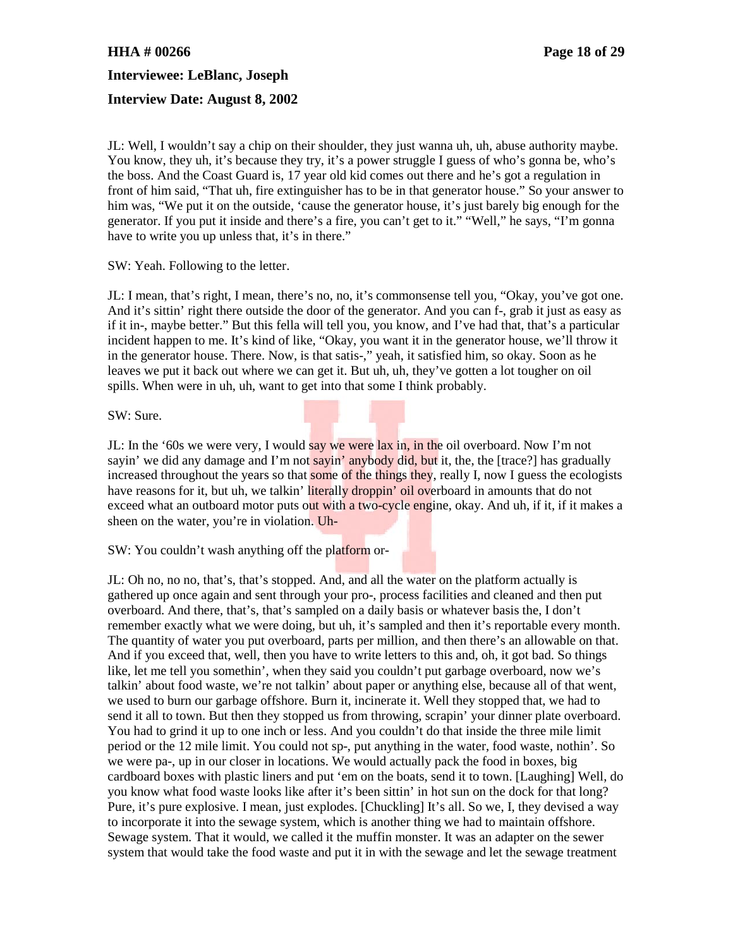# **HHA # 00266 Page 18 of 29 Interviewee: LeBlanc, Joseph Interview Date: August 8, 2002**

JL: Well, I wouldn't say a chip on their shoulder, they just wanna uh, uh, abuse authority maybe. You know, they uh, it's because they try, it's a power struggle I guess of who's gonna be, who's the boss. And the Coast Guard is, 17 year old kid comes out there and he's got a regulation in front of him said, "That uh, fire extinguisher has to be in that generator house." So your answer to him was, "We put it on the outside, 'cause the generator house, it's just barely big enough for the generator. If you put it inside and there's a fire, you can't get to it." "Well," he says, "I'm gonna have to write you up unless that, it's in there."

SW: Yeah. Following to the letter.

JL: I mean, that's right, I mean, there's no, no, it's commonsense tell you, "Okay, you've got one. And it's sittin' right there outside the door of the generator. And you can f-, grab it just as easy as if it in-, maybe better." But this fella will tell you, you know, and I've had that, that's a particular incident happen to me. It's kind of like, "Okay, you want it in the generator house, we'll throw it in the generator house. There. Now, is that satis-," yeah, it satisfied him, so okay. Soon as he leaves we put it back out where we can get it. But uh, uh, they've gotten a lot tougher on oil spills. When were in uh, uh, want to get into that some I think probably.

SW: Sure.

JL: In the '60s we were very, I would say we were lax in, in the oil overboard. Now I'm not sayin' we did any damage and I'm not sayin' anybody did, but it, the, the [trace?] has gradually increased throughout the years so that some of the things they, really I, now I guess the ecologists have reasons for it, but uh, we talkin' literally droppin' oil overboard in amounts that do not exceed what an outboard motor puts out with a two-cycle engine, okay. And uh, if it, if it makes a sheen on the water, you're in violation. Uh-

SW: You couldn't wash anything off the platform or-

JL: Oh no, no no, that's, that's stopped. And, and all the water on the platform actually is gathered up once again and sent through your pro-, process facilities and cleaned and then put overboard. And there, that's, that's sampled on a daily basis or whatever basis the, I don't remember exactly what we were doing, but uh, it's sampled and then it's reportable every month. The quantity of water you put overboard, parts per million, and then there's an allowable on that. And if you exceed that, well, then you have to write letters to this and, oh, it got bad. So things like, let me tell you somethin', when they said you couldn't put garbage overboard, now we's talkin' about food waste, we're not talkin' about paper or anything else, because all of that went, we used to burn our garbage offshore. Burn it, incinerate it. Well they stopped that, we had to send it all to town. But then they stopped us from throwing, scrapin' your dinner plate overboard. You had to grind it up to one inch or less. And you couldn't do that inside the three mile limit period or the 12 mile limit. You could not sp-, put anything in the water, food waste, nothin'. So we were pa-, up in our closer in locations. We would actually pack the food in boxes, big cardboard boxes with plastic liners and put 'em on the boats, send it to town. [Laughing] Well, do you know what food waste looks like after it's been sittin' in hot sun on the dock for that long? Pure, it's pure explosive. I mean, just explodes. [Chuckling] It's all. So we, I, they devised a way to incorporate it into the sewage system, which is another thing we had to maintain offshore. Sewage system. That it would, we called it the muffin monster. It was an adapter on the sewer system that would take the food waste and put it in with the sewage and let the sewage treatment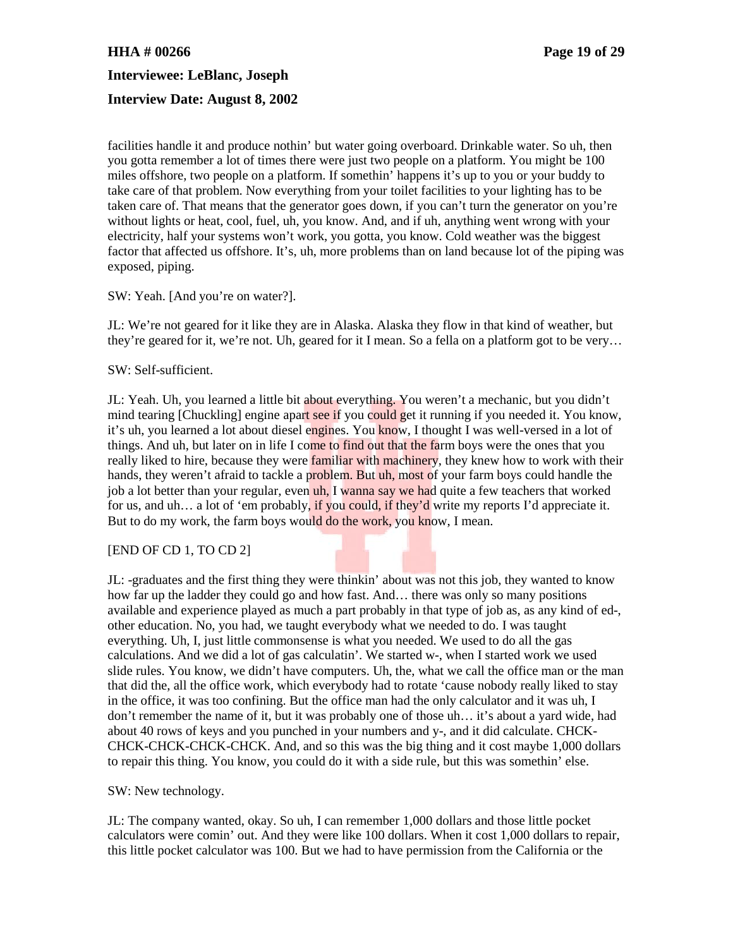# **HHA # 00266 Page 19 of 29**

**Interviewee: LeBlanc, Joseph**

## **Interview Date: August 8, 2002**

facilities handle it and produce nothin' but water going overboard. Drinkable water. So uh, then you gotta remember a lot of times there were just two people on a platform. You might be 100 miles offshore, two people on a platform. If somethin' happens it's up to you or your buddy to take care of that problem. Now everything from your toilet facilities to your lighting has to be taken care of. That means that the generator goes down, if you can't turn the generator on you're without lights or heat, cool, fuel, uh, you know. And, and if uh, anything went wrong with your electricity, half your systems won't work, you gotta, you know. Cold weather was the biggest factor that affected us offshore. It's, uh, more problems than on land because lot of the piping was exposed, piping.

#### SW: Yeah. [And you're on water?].

JL: We're not geared for it like they are in Alaska. Alaska they flow in that kind of weather, but they're geared for it, we're not. Uh, geared for it I mean. So a fella on a platform got to be very…

#### SW: Self-sufficient.

JL: Yeah. Uh, you learned a little bit about everything. You weren't a mechanic, but you didn't mind tearing [Chuckling] engine apart see if you could get it running if you needed it. You know, it's uh, you learned a lot about diesel engines. You know, I thought I was well-versed in a lot of things. And uh, but later on in life I come to find out that the farm boys were the ones that you really liked to hire, because they were familiar with machinery, they knew how to work with their hands, they weren't afraid to tackle a problem. But uh, most of your farm boys could handle the job a lot better than your regular, even uh, I wanna say we had quite a few teachers that worked for us, and uh… a lot of 'em probably, if you could, if they'd write my reports I'd appreciate it. But to do my work, the farm boys would do the work, you know, I mean.

## [END OF CD 1, TO CD 2]

JL: -graduates and the first thing they were thinkin' about was not this job, they wanted to know how far up the ladder they could go and how fast. And… there was only so many positions available and experience played as much a part probably in that type of job as, as any kind of ed-, other education. No, you had, we taught everybody what we needed to do. I was taught everything. Uh, I, just little commonsense is what you needed. We used to do all the gas calculations. And we did a lot of gas calculatin'. We started w-, when I started work we used slide rules. You know, we didn't have computers. Uh, the, what we call the office man or the man that did the, all the office work, which everybody had to rotate 'cause nobody really liked to stay in the office, it was too confining. But the office man had the only calculator and it was uh, I don't remember the name of it, but it was probably one of those uh… it's about a yard wide, had about 40 rows of keys and you punched in your numbers and y-, and it did calculate. CHCK-CHCK-CHCK-CHCK-CHCK. And, and so this was the big thing and it cost maybe 1,000 dollars to repair this thing. You know, you could do it with a side rule, but this was somethin' else.

#### SW: New technology.

JL: The company wanted, okay. So uh, I can remember 1,000 dollars and those little pocket calculators were comin' out. And they were like 100 dollars. When it cost 1,000 dollars to repair, this little pocket calculator was 100. But we had to have permission from the California or the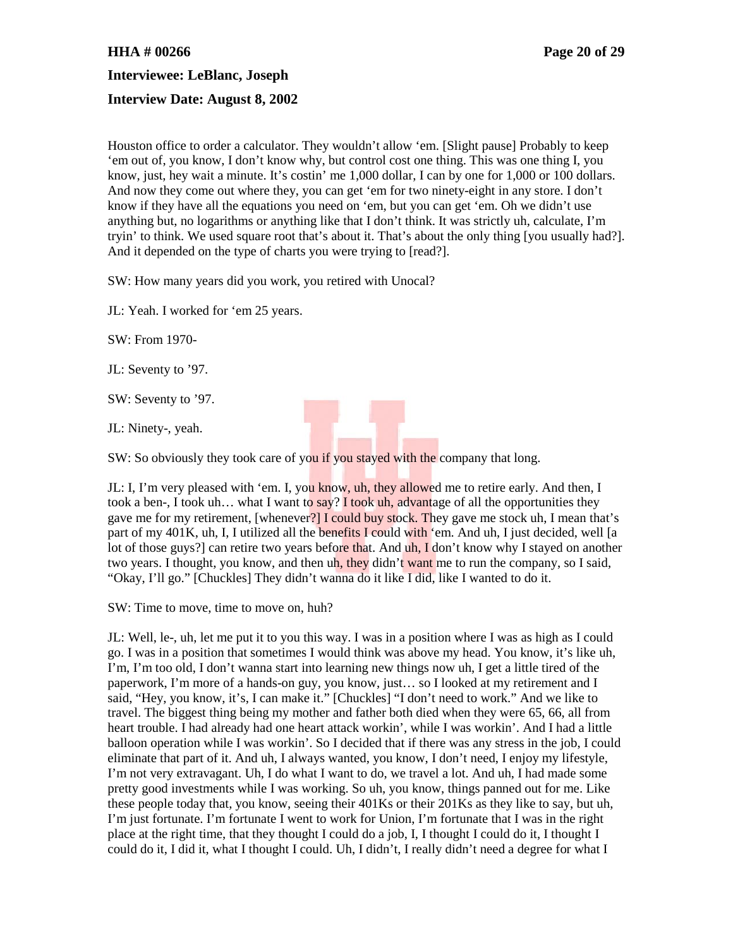# **HHA # 00266 Page 20 of 29 Interviewee: LeBlanc, Joseph Interview Date: August 8, 2002**

Houston office to order a calculator. They wouldn't allow 'em. [Slight pause] Probably to keep 'em out of, you know, I don't know why, but control cost one thing. This was one thing I, you know, just, hey wait a minute. It's costin' me 1,000 dollar, I can by one for 1,000 or 100 dollars. And now they come out where they, you can get 'em for two ninety-eight in any store. I don't know if they have all the equations you need on 'em, but you can get 'em. Oh we didn't use anything but, no logarithms or anything like that I don't think. It was strictly uh, calculate, I'm tryin' to think. We used square root that's about it. That's about the only thing [you usually had?]. And it depended on the type of charts you were trying to [read?].

SW: How many years did you work, you retired with Unocal?

JL: Yeah. I worked for 'em 25 years.

SW: From 1970-

JL: Seventy to '97.

SW: Seventy to '97.

JL: Ninety-, yeah.

SW: So obviously they took care of you if you stayed with the company that long.

JL: I, I'm very pleased with 'em. I, you know, uh, they allowed me to retire early. And then, I took a ben-, I took uh... what I want to say? I took uh, advantage of all the opportunities they gave me for my retirement, [whenever?] I could buy stock. They gave me stock uh, I mean that's part of my 401K, uh, I, I utilized all the benefits I could with 'em. And uh, I just decided, well [a lot of those guys?] can retire two years before that. And uh, I don't know why I stayed on another two years. I thought, you know, and then uh, they didn't want me to run the company, so I said, "Okay, I'll go." [Chuckles] They didn't wanna do it like I did, like I wanted to do it.

SW: Time to move, time to move on, huh?

JL: Well, le-, uh, let me put it to you this way. I was in a position where I was as high as I could go. I was in a position that sometimes I would think was above my head. You know, it's like uh, I'm, I'm too old, I don't wanna start into learning new things now uh, I get a little tired of the paperwork, I'm more of a hands-on guy, you know, just… so I looked at my retirement and I said, "Hey, you know, it's, I can make it." [Chuckles] "I don't need to work." And we like to travel. The biggest thing being my mother and father both died when they were 65, 66, all from heart trouble. I had already had one heart attack workin', while I was workin'. And I had a little balloon operation while I was workin'. So I decided that if there was any stress in the job, I could eliminate that part of it. And uh, I always wanted, you know, I don't need, I enjoy my lifestyle, I'm not very extravagant. Uh, I do what I want to do, we travel a lot. And uh, I had made some pretty good investments while I was working. So uh, you know, things panned out for me. Like these people today that, you know, seeing their 401Ks or their 201Ks as they like to say, but uh, I'm just fortunate. I'm fortunate I went to work for Union, I'm fortunate that I was in the right place at the right time, that they thought I could do a job, I, I thought I could do it, I thought I could do it, I did it, what I thought I could. Uh, I didn't, I really didn't need a degree for what I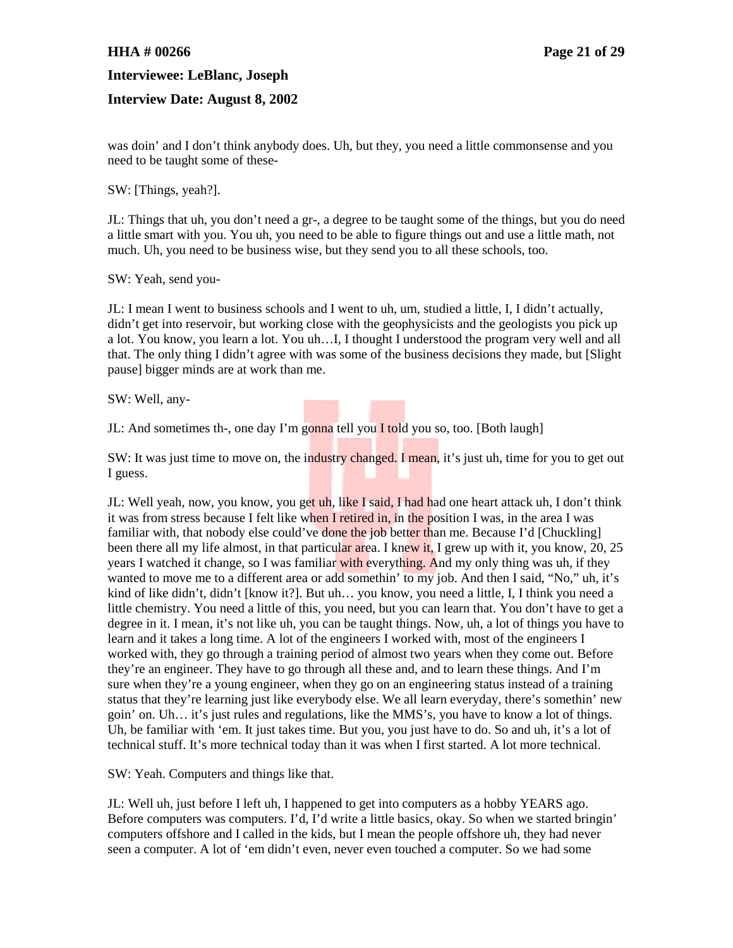## **HHA # 00266 Page 21 of 29**

**Interviewee: LeBlanc, Joseph**

#### **Interview Date: August 8, 2002**

was doin' and I don't think anybody does. Uh, but they, you need a little commonsense and you need to be taught some of these-

SW: [Things, yeah?].

JL: Things that uh, you don't need a gr-, a degree to be taught some of the things, but you do need a little smart with you. You uh, you need to be able to figure things out and use a little math, not much. Uh, you need to be business wise, but they send you to all these schools, too.

SW: Yeah, send you-

JL: I mean I went to business schools and I went to uh, um, studied a little, I, I didn't actually, didn't get into reservoir, but working close with the geophysicists and the geologists you pick up a lot. You know, you learn a lot. You uh…I, I thought I understood the program very well and all that. The only thing I didn't agree with was some of the business decisions they made, but [Slight pause] bigger minds are at work than me.

SW: Well, any-

JL: And sometimes th-, one day I'm gonna tell you I told you so, too. [Both laugh]

SW: It was just time to move on, the industry changed. I mean, it's just uh, time for you to get out I guess.

JL: Well yeah, now, you know, you get uh, like I said, I had had one heart attack uh, I don't think it was from stress because I felt like when I retired in, in the position I was, in the area I was familiar with, that nobody else could've done the job better than me. Because I'd [Chuckling] been there all my life almost, in that particular area. I knew it, I grew up with it, you know, 20, 25 years I watched it change, so I was familiar with everything. And my only thing was uh, if they wanted to move me to a different area or add somethin' to my job. And then I said, "No," uh, it's kind of like didn't, didn't [know it?]. But uh... you know, you need a little, I, I think you need a little chemistry. You need a little of this, you need, but you can learn that. You don't have to get a degree in it. I mean, it's not like uh, you can be taught things. Now, uh, a lot of things you have to learn and it takes a long time. A lot of the engineers I worked with, most of the engineers I worked with, they go through a training period of almost two years when they come out. Before they're an engineer. They have to go through all these and, and to learn these things. And I'm sure when they're a young engineer, when they go on an engineering status instead of a training status that they're learning just like everybody else. We all learn everyday, there's somethin' new goin' on. Uh… it's just rules and regulations, like the MMS's, you have to know a lot of things. Uh, be familiar with 'em. It just takes time. But you, you just have to do. So and uh, it's a lot of technical stuff. It's more technical today than it was when I first started. A lot more technical.

SW: Yeah. Computers and things like that.

JL: Well uh, just before I left uh, I happened to get into computers as a hobby YEARS ago. Before computers was computers. I'd, I'd write a little basics, okay. So when we started bringin' computers offshore and I called in the kids, but I mean the people offshore uh, they had never seen a computer. A lot of 'em didn't even, never even touched a computer. So we had some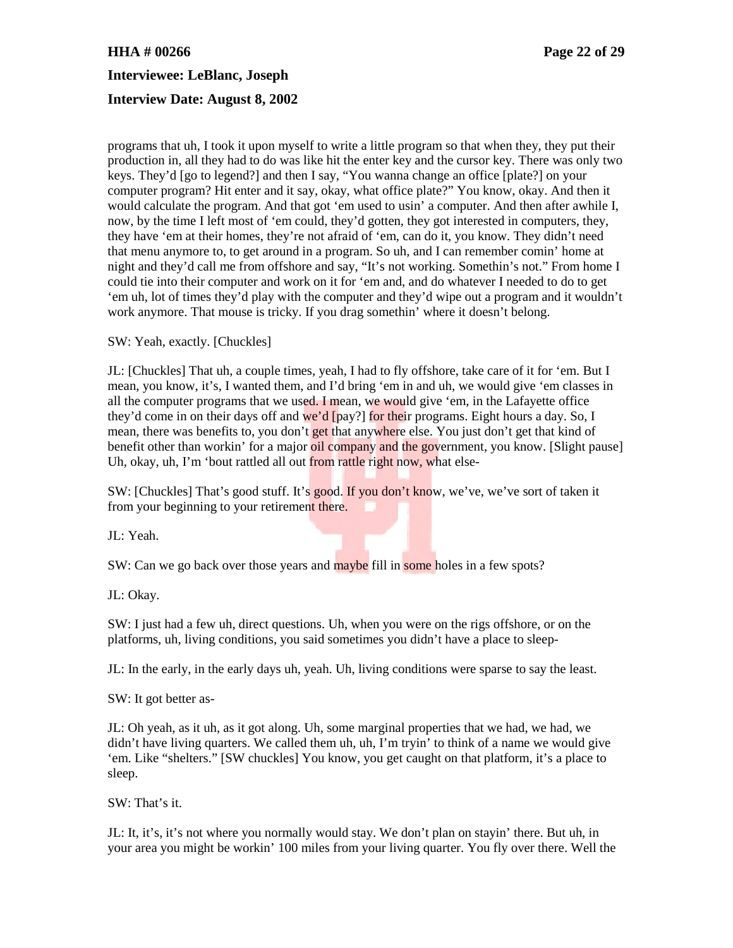# **HHA # 00266 Page 22 of 29 Interviewee: LeBlanc, Joseph Interview Date: August 8, 2002**

programs that uh, I took it upon myself to write a little program so that when they, they put their production in, all they had to do was like hit the enter key and the cursor key. There was only two keys. They'd [go to legend?] and then I say, "You wanna change an office [plate?] on your computer program? Hit enter and it say, okay, what office plate?" You know, okay. And then it would calculate the program. And that got 'em used to usin' a computer. And then after awhile I, now, by the time I left most of 'em could, they'd gotten, they got interested in computers, they, they have 'em at their homes, they're not afraid of 'em, can do it, you know. They didn't need that menu anymore to, to get around in a program. So uh, and I can remember comin' home at night and they'd call me from offshore and say, "It's not working. Somethin's not." From home I could tie into their computer and work on it for 'em and, and do whatever I needed to do to get 'em uh, lot of times they'd play with the computer and they'd wipe out a program and it wouldn't work anymore. That mouse is tricky. If you drag somethin' where it doesn't belong.

SW: Yeah, exactly. [Chuckles]

JL: [Chuckles] That uh, a couple times, yeah, I had to fly offshore, take care of it for 'em. But I mean, you know, it's, I wanted them, and I'd bring 'em in and uh, we would give 'em classes in all the computer programs that we used. I mean, we would give 'em, in the Lafayette office they'd come in on their days off and we'd [pay?] for their programs. Eight hours a day. So, I mean, there was benefits to, you don't get that anywhere else. You just don't get that kind of benefit other than workin' for a major oil company and the government, you know. [Slight pause] Uh, okay, uh, I'm 'bout rattled all out from rattle right now, what else-

SW: [Chuckles] That's good stuff. It's good. If you don't know, we've, we've sort of taken it from your beginning to your retirement there.

JL: Yeah.

SW: Can we go back over those years and maybe fill in some holes in a few spots?

JL: Okay.

SW: I just had a few uh, direct questions. Uh, when you were on the rigs offshore, or on the platforms, uh, living conditions, you said sometimes you didn't have a place to sleep-

JL: In the early, in the early days uh, yeah. Uh, living conditions were sparse to say the least.

SW: It got better as-

JL: Oh yeah, as it uh, as it got along. Uh, some marginal properties that we had, we had, we didn't have living quarters. We called them uh, uh, I'm tryin' to think of a name we would give 'em. Like "shelters." [SW chuckles] You know, you get caught on that platform, it's a place to sleep.

SW: That's it.

JL: It, it's, it's not where you normally would stay. We don't plan on stayin' there. But uh, in your area you might be workin' 100 miles from your living quarter. You fly over there. Well the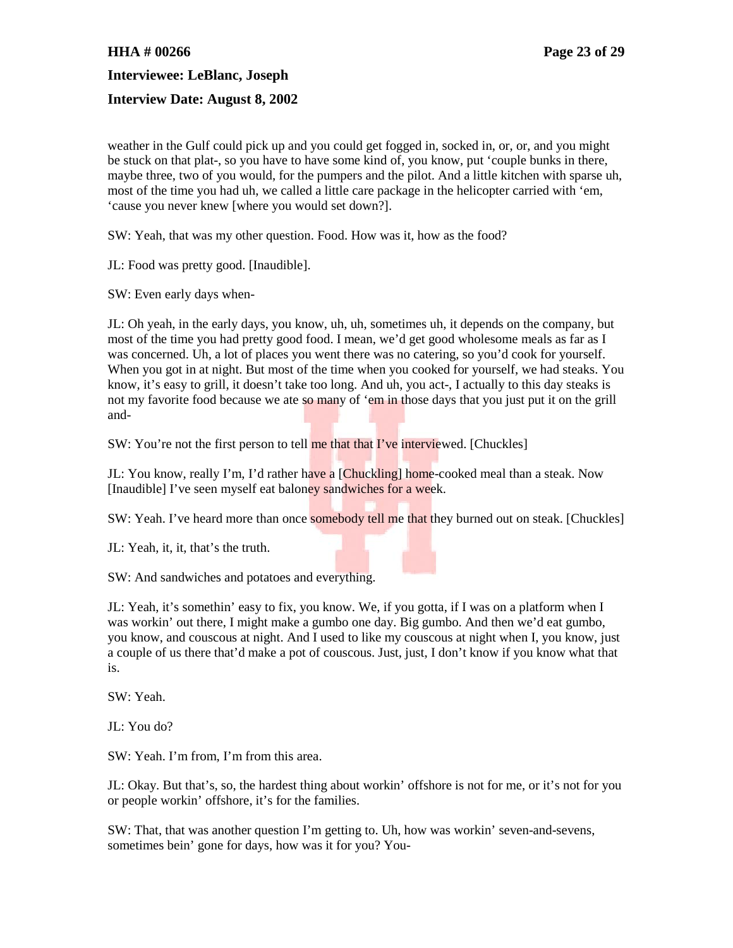## **HHA # 00266 Page 23 of 29**

**Interviewee: LeBlanc, Joseph**

## **Interview Date: August 8, 2002**

weather in the Gulf could pick up and you could get fogged in, socked in, or, or, and you might be stuck on that plat-, so you have to have some kind of, you know, put 'couple bunks in there, maybe three, two of you would, for the pumpers and the pilot. And a little kitchen with sparse uh, most of the time you had uh, we called a little care package in the helicopter carried with 'em, 'cause you never knew [where you would set down?].

SW: Yeah, that was my other question. Food. How was it, how as the food?

JL: Food was pretty good. [Inaudible].

SW: Even early days when-

JL: Oh yeah, in the early days, you know, uh, uh, sometimes uh, it depends on the company, but most of the time you had pretty good food. I mean, we'd get good wholesome meals as far as I was concerned. Uh, a lot of places you went there was no catering, so you'd cook for yourself. When you got in at night. But most of the time when you cooked for yourself, we had steaks. You know, it's easy to grill, it doesn't take too long. And uh, you act-, I actually to this day steaks is not my favorite food because we ate so many of 'em in those days that you just put it on the grill and-

SW: You're not the first person to tell me that that I've interviewed. [Chuckles]

JL: You know, really I'm, I'd rather have a [Chuckling] home-cooked meal than a steak. Now [Inaudible] I've seen myself eat baloney sandwiches for a week.

SW: Yeah. I've heard more than once somebody tell me that they burned out on steak. [Chuckles]

JL: Yeah, it, it, that's the truth.

SW: And sandwiches and potatoes and everything.

JL: Yeah, it's somethin' easy to fix, you know. We, if you gotta, if I was on a platform when I was workin' out there, I might make a gumbo one day. Big gumbo. And then we'd eat gumbo, you know, and couscous at night. And I used to like my couscous at night when I, you know, just a couple of us there that'd make a pot of couscous. Just, just, I don't know if you know what that is.

SW: Yeah.

JL: You do?

SW: Yeah. I'm from, I'm from this area.

JL: Okay. But that's, so, the hardest thing about workin' offshore is not for me, or it's not for you or people workin' offshore, it's for the families.

SW: That, that was another question I'm getting to. Uh, how was workin' seven-and-sevens, sometimes bein' gone for days, how was it for you? You-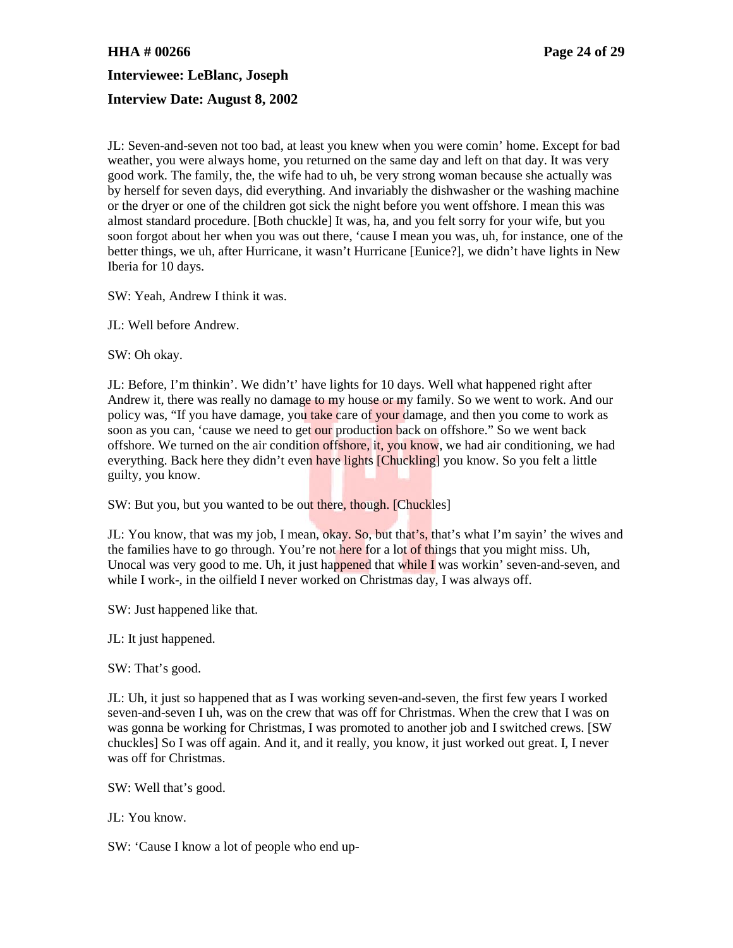# **HHA # 00266 Page 24 of 29 Interviewee: LeBlanc, Joseph Interview Date: August 8, 2002**

JL: Seven-and-seven not too bad, at least you knew when you were comin' home. Except for bad weather, you were always home, you returned on the same day and left on that day. It was very good work. The family, the, the wife had to uh, be very strong woman because she actually was by herself for seven days, did everything. And invariably the dishwasher or the washing machine or the dryer or one of the children got sick the night before you went offshore. I mean this was almost standard procedure. [Both chuckle] It was, ha, and you felt sorry for your wife, but you soon forgot about her when you was out there, 'cause I mean you was, uh, for instance, one of the better things, we uh, after Hurricane, it wasn't Hurricane [Eunice?], we didn't have lights in New Iberia for 10 days.

SW: Yeah, Andrew I think it was.

JL: Well before Andrew.

SW: Oh okay.

JL: Before, I'm thinkin'. We didn't' have lights for 10 days. Well what happened right after Andrew it, there was really no damage to my house or my family. So we went to work. And our policy was, "If you have damage, you take care of your damage, and then you come to work as soon as you can, 'cause we need to get our production back on offshore." So we went back offshore. We turned on the air condition offshore, it, you know, we had air conditioning, we had everything. Back here they didn't even have lights [Chuckling] you know. So you felt a little guilty, you know.

SW: But you, but you wanted to be out there, though. [Chuckles]

JL: You know, that was my job, I mean, okay. So, but that's, that's what I'm sayin' the wives and the families have to go through. You're not here for a lot of things that you might miss. Uh, Unocal was very good to me. Uh, it just happened that while I was workin' seven-and-seven, and while I work-, in the oilfield I never worked on Christmas day, I was always off.

SW: Just happened like that.

JL: It just happened.

SW: That's good.

JL: Uh, it just so happened that as I was working seven-and-seven, the first few years I worked seven-and-seven I uh, was on the crew that was off for Christmas. When the crew that I was on was gonna be working for Christmas, I was promoted to another job and I switched crews. [SW chuckles] So I was off again. And it, and it really, you know, it just worked out great. I, I never was off for Christmas.

SW: Well that's good.

JL: You know.

SW: 'Cause I know a lot of people who end up-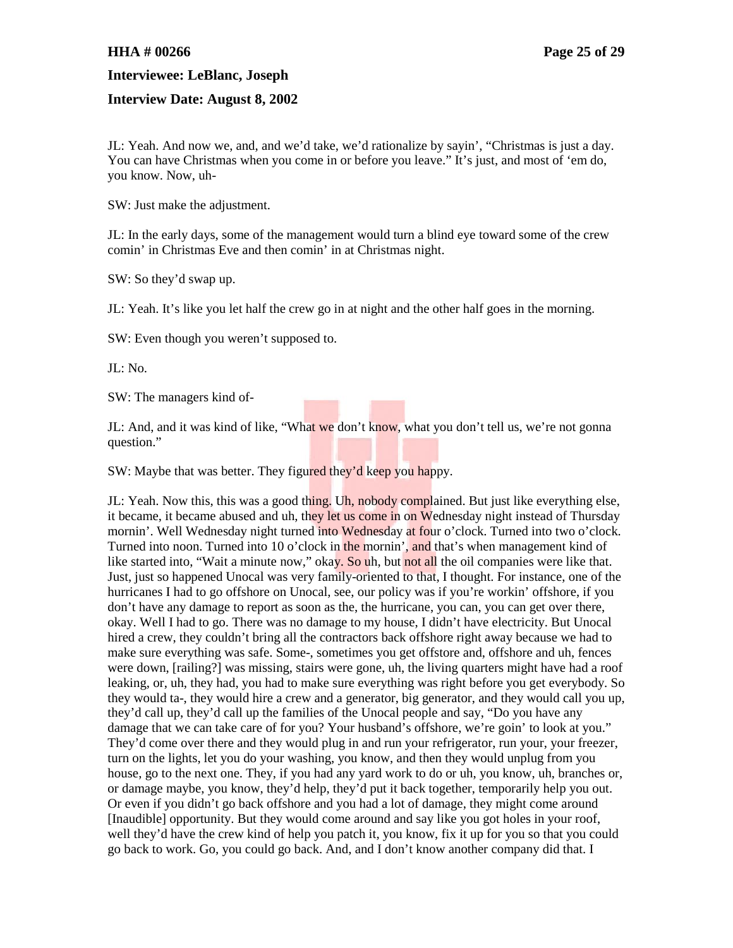#### **HHA # 00266 Page 25 of 29**

**Interviewee: LeBlanc, Joseph**

#### **Interview Date: August 8, 2002**

JL: Yeah. And now we, and, and we'd take, we'd rationalize by sayin', "Christmas is just a day. You can have Christmas when you come in or before you leave." It's just, and most of 'em do, you know. Now, uh-

SW: Just make the adjustment.

JL: In the early days, some of the management would turn a blind eye toward some of the crew comin' in Christmas Eve and then comin' in at Christmas night.

SW: So they'd swap up.

JL: Yeah. It's like you let half the crew go in at night and the other half goes in the morning.

SW: Even though you weren't supposed to.

JL: No.

SW: The managers kind of-

JL: And, and it was kind of like, "What we don't know, what you don't tell us, we're not gonna question."

SW: Maybe that was better. They figured they'd keep you happy.

JL: Yeah. Now this, this was a good thing. Uh, nobody complained. But just like everything else, it became, it became abused and uh, they let us come in on Wednesday night instead of Thursday mornin'. Well Wednesday night turned into Wednesday at four o'clock. Turned into two o'clock. Turned into noon. Turned into 10 o'clock in the mornin', and that's when management kind of like started into, "Wait a minute now," okay. So uh, but not all the oil companies were like that. Just, just so happened Unocal was very family-oriented to that, I thought. For instance, one of the hurricanes I had to go offshore on Unocal, see, our policy was if you're workin' offshore, if you don't have any damage to report as soon as the, the hurricane, you can, you can get over there, okay. Well I had to go. There was no damage to my house, I didn't have electricity. But Unocal hired a crew, they couldn't bring all the contractors back offshore right away because we had to make sure everything was safe. Some-, sometimes you get offstore and, offshore and uh, fences were down, [railing?] was missing, stairs were gone, uh, the living quarters might have had a roof leaking, or, uh, they had, you had to make sure everything was right before you get everybody. So they would ta-, they would hire a crew and a generator, big generator, and they would call you up, they'd call up, they'd call up the families of the Unocal people and say, "Do you have any damage that we can take care of for you? Your husband's offshore, we're goin' to look at you." They'd come over there and they would plug in and run your refrigerator, run your, your freezer, turn on the lights, let you do your washing, you know, and then they would unplug from you house, go to the next one. They, if you had any yard work to do or uh, you know, uh, branches or, or damage maybe, you know, they'd help, they'd put it back together, temporarily help you out. Or even if you didn't go back offshore and you had a lot of damage, they might come around [Inaudible] opportunity. But they would come around and say like you got holes in your roof, well they'd have the crew kind of help you patch it, you know, fix it up for you so that you could go back to work. Go, you could go back. And, and I don't know another company did that. I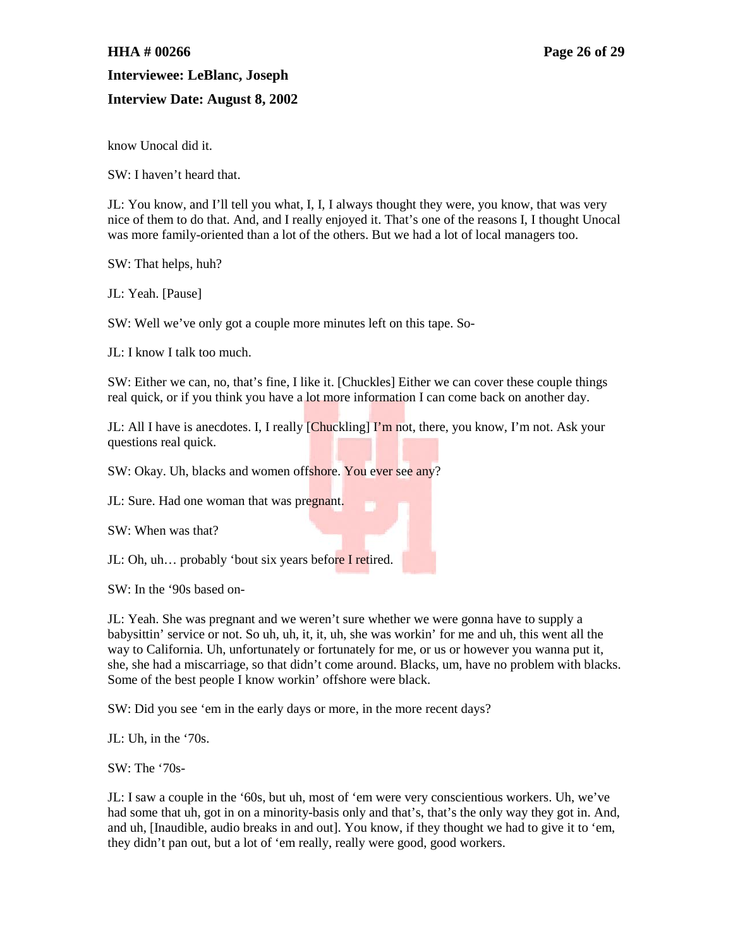## **HHA # 00266 Page 26 of 29**

## **Interviewee: LeBlanc, Joseph**

## **Interview Date: August 8, 2002**

know Unocal did it.

SW: I haven't heard that.

JL: You know, and I'll tell you what, I, I, I always thought they were, you know, that was very nice of them to do that. And, and I really enjoyed it. That's one of the reasons I, I thought Unocal was more family-oriented than a lot of the others. But we had a lot of local managers too.

SW: That helps, huh?

JL: Yeah. [Pause]

SW: Well we've only got a couple more minutes left on this tape. So-

JL: I know I talk too much.

SW: Either we can, no, that's fine, I like it. [Chuckles] Either we can cover these couple things real quick, or if you think you have a lot more information I can come back on another day.

JL: All I have is anecdotes. I, I really **[Chuckling]** I'm not, there, you know, I'm not. Ask your questions real quick.

SW: Okay. Uh, blacks and women offshore. You ever see any?

JL: Sure. Had one woman that was pregnant.

SW: When was that?

JL: Oh, uh... probably 'bout six years before I retired.

SW: In the '90s based on-

JL: Yeah. She was pregnant and we weren't sure whether we were gonna have to supply a babysittin' service or not. So uh, uh, it, it, uh, she was workin' for me and uh, this went all the way to California. Uh, unfortunately or fortunately for me, or us or however you wanna put it, she, she had a miscarriage, so that didn't come around. Blacks, um, have no problem with blacks. Some of the best people I know workin' offshore were black.

SW: Did you see 'em in the early days or more, in the more recent days?

JL: Uh, in the '70s.

SW: The '70s-

JL: I saw a couple in the '60s, but uh, most of 'em were very conscientious workers. Uh, we've had some that uh, got in on a minority-basis only and that's, that's the only way they got in. And, and uh, [Inaudible, audio breaks in and out]. You know, if they thought we had to give it to 'em, they didn't pan out, but a lot of 'em really, really were good, good workers.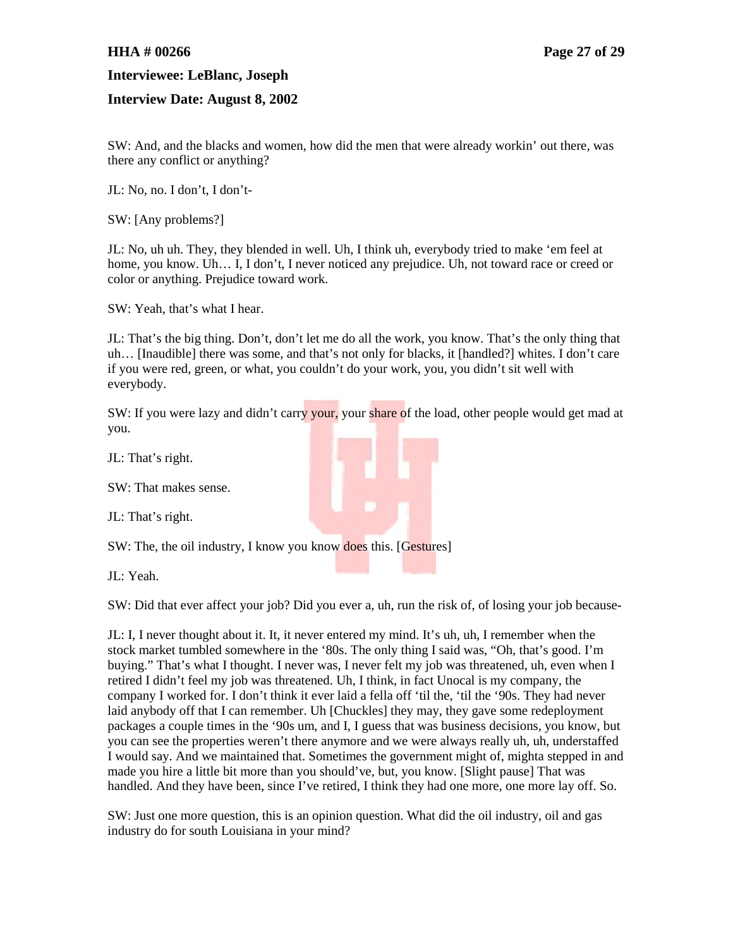#### **HHA # 00266 Page 27 of 29**

**Interviewee: LeBlanc, Joseph**

#### **Interview Date: August 8, 2002**

SW: And, and the blacks and women, how did the men that were already workin' out there, was there any conflict or anything?

JL: No, no. I don't, I don't-

SW: [Any problems?]

JL: No, uh uh. They, they blended in well. Uh, I think uh, everybody tried to make 'em feel at home, you know. Uh... I, I don't, I never noticed any prejudice. Uh, not toward race or creed or color or anything. Prejudice toward work.

SW: Yeah, that's what I hear.

JL: That's the big thing. Don't, don't let me do all the work, you know. That's the only thing that uh… [Inaudible] there was some, and that's not only for blacks, it [handled?] whites. I don't care if you were red, green, or what, you couldn't do your work, you, you didn't sit well with everybody.

SW: If you were lazy and didn't carry your, your share of the load, other people would get mad at you.

JL: That's right.

SW: That makes sense.

JL: That's right.

SW: The, the oil industry, I know you know does this. [Gestures]

JL: Yeah.

SW: Did that ever affect your job? Did you ever a, uh, run the risk of, of losing your job because-

JL: I, I never thought about it. It, it never entered my mind. It's uh, uh, I remember when the stock market tumbled somewhere in the '80s. The only thing I said was, "Oh, that's good. I'm buying." That's what I thought. I never was, I never felt my job was threatened, uh, even when I retired I didn't feel my job was threatened. Uh, I think, in fact Unocal is my company, the company I worked for. I don't think it ever laid a fella off 'til the, 'til the '90s. They had never laid anybody off that I can remember. Uh [Chuckles] they may, they gave some redeployment packages a couple times in the '90s um, and I, I guess that was business decisions, you know, but you can see the properties weren't there anymore and we were always really uh, uh, understaffed I would say. And we maintained that. Sometimes the government might of, mighta stepped in and made you hire a little bit more than you should've, but, you know. [Slight pause] That was handled. And they have been, since I've retired, I think they had one more, one more lay off. So.

SW: Just one more question, this is an opinion question. What did the oil industry, oil and gas industry do for south Louisiana in your mind?

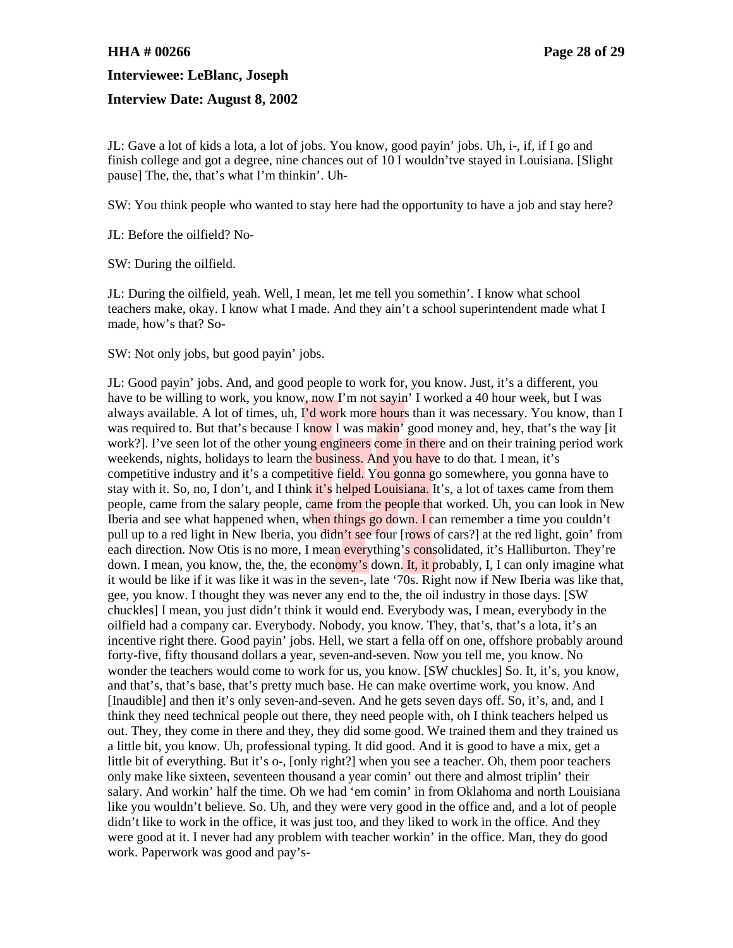### **HHA # 00266 Page 28 of 29**

## **Interviewee: LeBlanc, Joseph**

#### **Interview Date: August 8, 2002**

JL: Gave a lot of kids a lota, a lot of jobs. You know, good payin' jobs. Uh, i-, if, if I go and finish college and got a degree, nine chances out of 10 I wouldn'tve stayed in Louisiana. [Slight pause] The, the, that's what I'm thinkin'. Uh-

SW: You think people who wanted to stay here had the opportunity to have a job and stay here?

JL: Before the oilfield? No-

SW: During the oilfield.

JL: During the oilfield, yeah. Well, I mean, let me tell you somethin'. I know what school teachers make, okay. I know what I made. And they ain't a school superintendent made what I made, how's that? So-

SW: Not only jobs, but good payin' jobs.

JL: Good payin' jobs. And, and good people to work for, you know. Just, it's a different, you have to be willing to work, you know, now I'm not sayin' I worked a 40 hour week, but I was always available. A lot of times, uh,  $\Gamma$ d work more hours than it was necessary. You know, than I was required to. But that's because I know I was makin' good money and, hey, that's the way [it] work?]. I've seen lot of the other young engineers come in there and on their training period work weekends, nights, holidays to learn the business. And you have to do that. I mean, it's competitive industry and it's a competitive field. You gonna go somewhere, you gonna have to stay with it. So, no, I don't, and I think it's helped Louisiana. It's, a lot of taxes came from them people, came from the salary people, came from the people that worked. Uh, you can look in New Iberia and see what happened when, when things go down. I can remember a time you couldn't pull up to a red light in New Iberia, you didn't see four [rows of cars?] at the red light, goin' from each direction. Now Otis is no more, I mean everything's consolidated, it's Halliburton. They're down. I mean, you know, the, the, the economy's down. It, it probably, I, I can only imagine what it would be like if it was like it was in the seven-, late '70s. Right now if New Iberia was like that, gee, you know. I thought they was never any end to the, the oil industry in those days. [SW chuckles] I mean, you just didn't think it would end. Everybody was, I mean, everybody in the oilfield had a company car. Everybody. Nobody, you know. They, that's, that's a lota, it's an incentive right there. Good payin' jobs. Hell, we start a fella off on one, offshore probably around forty-five, fifty thousand dollars a year, seven-and-seven. Now you tell me, you know. No wonder the teachers would come to work for us, you know. [SW chuckles] So. It, it's, you know, and that's, that's base, that's pretty much base. He can make overtime work, you know. And [Inaudible] and then it's only seven-and-seven. And he gets seven days off. So, it's, and, and I think they need technical people out there, they need people with, oh I think teachers helped us out. They, they come in there and they, they did some good. We trained them and they trained us a little bit, you know. Uh, professional typing. It did good. And it is good to have a mix, get a little bit of everything. But it's o-, [only right?] when you see a teacher. Oh, them poor teachers only make like sixteen, seventeen thousand a year comin' out there and almost triplin' their salary. And workin' half the time. Oh we had 'em comin' in from Oklahoma and north Louisiana like you wouldn't believe. So. Uh, and they were very good in the office and, and a lot of people didn't like to work in the office, it was just too, and they liked to work in the office. And they were good at it. I never had any problem with teacher workin' in the office. Man, they do good work. Paperwork was good and pay's